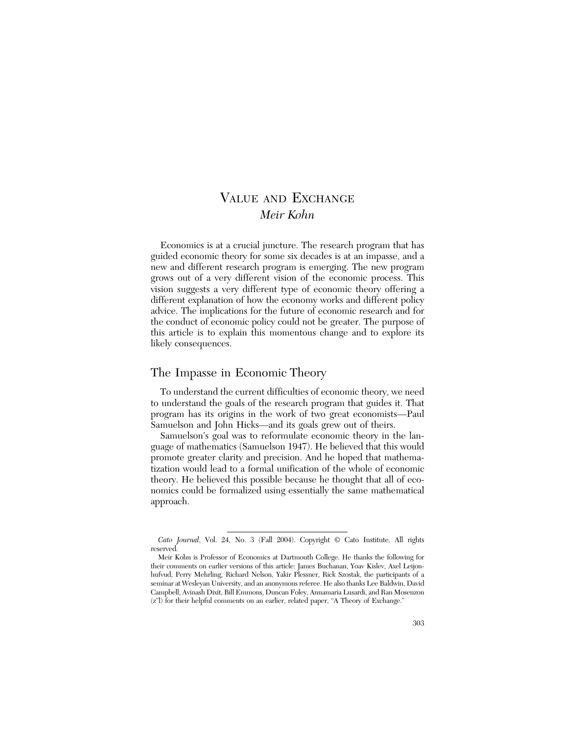# VALUE AND EXCHANGE *Meir Kohn*

Economics is at a crucial juncture. The research program that has guided economic theory for some six decades is at an impasse, and a new and different research program is emerging. The new program grows out of a very different vision of the economic process. This vision suggests a very different type of economic theory offering a different explanation of how the economy works and different policy advice. The implications for the future of economic research and for the conduct of economic policy could not be greater. The purpose of this article is to explain this momentous change and to explore its likely consequences.

## The Impasse in Economic Theory

To understand the current difficulties of economic theory, we need to understand the goals of the research program that guides it. That program has its origins in the work of two great economists—Paul Samuelson and John Hicks—and its goals grew out of theirs.

Samuelson's goal was to reformulate economic theory in the language of mathematics (Samuelson 1947). He believed that this would promote greater clarity and precision. And he hoped that mathematization would lead to a formal unification of the whole of economic theory. He believed this possible because he thought that all of economics could be formalized using essentially the same mathematical approach.

*Cato Journal*, Vol. 24, No. 3 (Fall 2004). Copyright © Cato Institute. All rights reserved.

Meir Kohn is Professor of Economics at Dartmouth College. He thanks the following for their comments on earlier versions of this article: James Buchanan, Yoav Kislev, Axel Leijonhufvud, Perry Mehrling, Richard Nelson, Yakir Plessner, Rick Szostak, the participants of a seminar at Wesleyan University, and an anonymous referee. He also thanks Lee Baldwin, David Campbell, Avinash Dixit, Bill Emmons, Duncan Foley, Annamaria Lusardi, and Ran Mosenzon (z"l) for their helpful comments on an earlier, related paper, "A Theory of Exchange."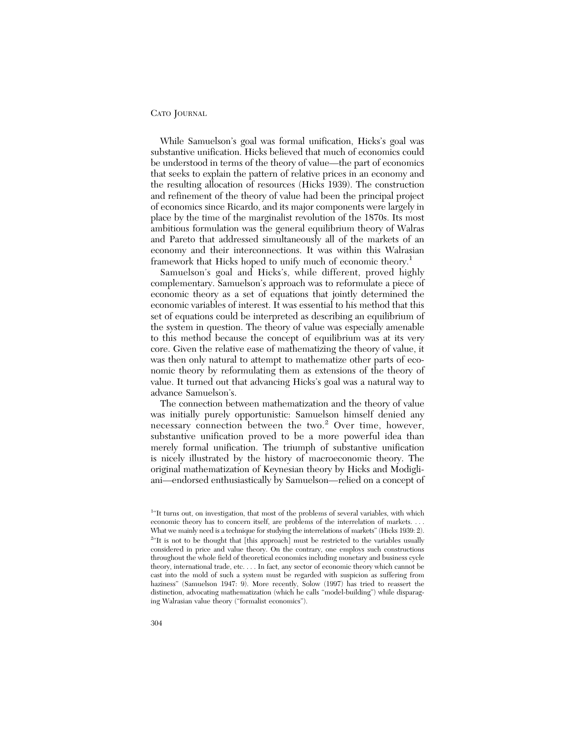While Samuelson's goal was formal unification, Hicks's goal was substantive unification. Hicks believed that much of economics could be understood in terms of the theory of value—the part of economics that seeks to explain the pattern of relative prices in an economy and the resulting allocation of resources (Hicks 1939). The construction and refinement of the theory of value had been the principal project of economics since Ricardo, and its major components were largely in place by the time of the marginalist revolution of the 1870s. Its most ambitious formulation was the general equilibrium theory of Walras and Pareto that addressed simultaneously all of the markets of an economy and their interconnections. It was within this Walrasian framework that Hicks hoped to unify much of economic theory.<sup>1</sup>

Samuelson's goal and Hicks's, while different, proved highly complementary. Samuelson's approach was to reformulate a piece of economic theory as a set of equations that jointly determined the economic variables of interest. It was essential to his method that this set of equations could be interpreted as describing an equilibrium of the system in question. The theory of value was especially amenable to this method because the concept of equilibrium was at its very core. Given the relative ease of mathematizing the theory of value, it was then only natural to attempt to mathematize other parts of economic theory by reformulating them as extensions of the theory of value. It turned out that advancing Hicks's goal was a natural way to advance Samuelson's.

The connection between mathematization and the theory of value was initially purely opportunistic: Samuelson himself denied any necessary connection between the two.<sup>2</sup> Over time, however, substantive unification proved to be a more powerful idea than merely formal unification. The triumph of substantive unification is nicely illustrated by the history of macroeconomic theory. The original mathematization of Keynesian theory by Hicks and Modigliani—endorsed enthusiastically by Samuelson—relied on a concept of

<sup>&</sup>lt;sup>1</sup>"It turns out, on investigation, that most of the problems of several variables, with which economic theory has to concern itself, are problems of the interrelation of markets. . . . What we mainly need is a technique for studying the interrelations of markets" (Hicks 1939: 2). <sup>2</sup>"It is not to be thought that [this approach] must be restricted to the variables usually considered in price and value theory. On the contrary, one employs such constructions throughout the whole field of theoretical economics including monetary and business cycle theory, international trade, etc. . . . In fact, any sector of economic theory which cannot be cast into the mold of such a system must be regarded with suspicion as suffering from haziness" (Samuelson 1947: 9). More recently, Solow (1997) has tried to reassert the distinction, advocating mathematization (which he calls "model-building") while disparaging Walrasian value theory ("formalist economics").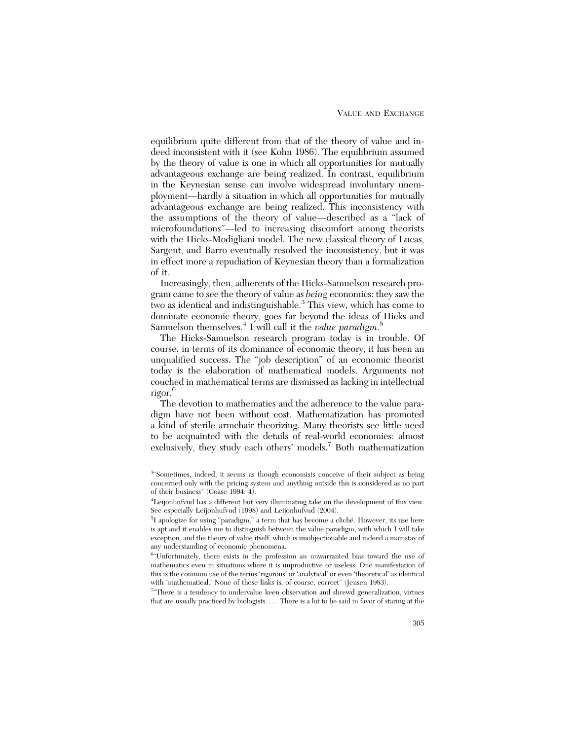equilibrium quite different from that of the theory of value and indeed inconsistent with it (see Kohn 1986). The equilibrium assumed by the theory of value is one in which all opportunities for mutually advantageous exchange are being realized. In contrast, equilibrium in the Keynesian sense can involve widespread involuntary unemployment—hardly a situation in which all opportunities for mutually advantageous exchange are being realized. This inconsistency with the assumptions of the theory of value—described as a "lack of microfoundations"—led to increasing discomfort among theorists with the Hicks-Modigliani model. The new classical theory of Lucas, Sargent, and Barro eventually resolved the inconsistency, but it was in effect more a repudiation of Keynesian theory than a formalization of it.

Increasingly, then, adherents of the Hicks-Samuelson research program came to see the theory of value as *being* economics: they saw the two as identical and indistinguishable.<sup>3</sup> This view, which has come to dominate economic theory, goes far beyond the ideas of Hicks and Samuelson themselves.4 I will call it the *value paradigm*. 5

The Hicks-Samuelson research program today is in trouble. Of course, in terms of its dominance of economic theory, it has been an unqualified success. The "job description" of an economic theorist today is the elaboration of mathematical models. Arguments not couched in mathematical terms are dismissed as lacking in intellectual rigor.6

The devotion to mathematics and the adherence to the value paradigm have not been without cost. Mathematization has promoted a kind of sterile armchair theorizing. Many theorists see little need to be acquainted with the details of real-world economies: almost exclusively, they study each others' models.<sup>7</sup> Both mathematization

<sup>7</sup>"There is a tendency to undervalue keen observation and shrewd generalization, virtues that are usually practiced by biologists. . . . There is a lot to be said in favor of staring at the

<sup>&</sup>lt;sup>3«</sup>Sometimes, indeed, it seems as though economists conceive of their subject as being concerned only with the pricing system and anything outside this is considered as no part of their business" (Coase 1994: 4).

<sup>4</sup> Leijonhufvud has a different but very illuminating take on the development of this view. See especially Leijonhufvud (1998) and Leijonhufvud (2004).

<sup>&</sup>lt;sup>5</sup>I apologize for using "paradigm," a term that has become a cliché. However, its use here is apt and it enables me to distinguish between the value paradigm, with which I will take exception, and the theory of value itself, which is unobjectionable and indeed a mainstay of any understanding of economic phenomena.

<sup>6</sup> "Unfortunately, there exists in the profession an unwarranted bias toward the use of mathematics even in situations where it is unproductive or useless. One manifestation of this is the common use of the terms 'rigorous' or 'analytical' or even 'theoretical' as identical with 'mathematical.' None of these links is, of course, correct" (Jensen 1983).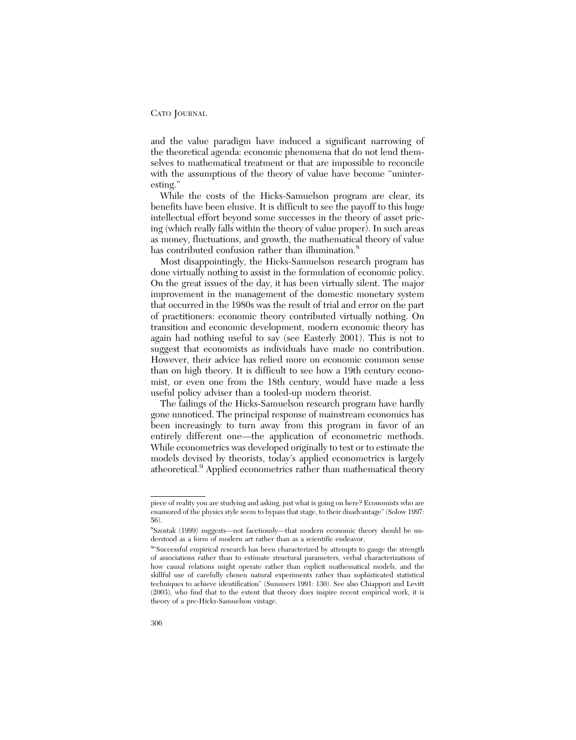and the value paradigm have induced a significant narrowing of the theoretical agenda: economic phenomena that do not lend themselves to mathematical treatment or that are impossible to reconcile with the assumptions of the theory of value have become "uninteresting."

While the costs of the Hicks-Samuelson program are clear, its benefits have been elusive. It is difficult to see the payoff to this huge intellectual effort beyond some successes in the theory of asset pricing (which really falls within the theory of value proper). In such areas as money, fluctuations, and growth, the mathematical theory of value has contributed confusion rather than illumination.<sup>8</sup>

Most disappointingly, the Hicks-Samuelson research program has done virtually nothing to assist in the formulation of economic policy. On the great issues of the day, it has been virtually silent. The major improvement in the management of the domestic monetary system that occurred in the 1980s was the result of trial and error on the part of practitioners: economic theory contributed virtually nothing. On transition and economic development, modern economic theory has again had nothing useful to say (see Easterly 2001). This is not to suggest that economists as individuals have made no contribution. However, their advice has relied more on economic common sense than on high theory. It is difficult to see how a 19th century economist, or even one from the 18th century, would have made a less useful policy adviser than a tooled-up modern theorist.

The failings of the Hicks-Samuelson research program have hardly gone unnoticed. The principal response of mainstream economics has been increasingly to turn away from this program in favor of an entirely different one—the application of econometric methods. While econometrics was developed originally to test or to estimate the models devised by theorists, today's applied econometrics is largely atheoretical.<sup>9</sup> Applied econometrics rather than mathematical theory

piece of reality you are studying and asking, just what is going on here? Economists who are enamored of the physics style seem to bypass that stage, to their disadvantage" (Solow 1997: 56).

<sup>8</sup> Szostak (1999) suggests—not facetiously—that modern economic theory should be understood as a form of modern art rather than as a scientific endeavor.

<sup>&</sup>lt;sup>9«</sup>Successful empirical research has been characterized by attempts to gauge the strength of associations rather than to estimate structural parameters, verbal characterizations of how causal relations might operate rather than explicit mathematical models, and the skillful use of carefully chosen natural experiments rather than sophisticated statistical techniques to achieve identification" (Summers 1991: 130). See also Chiappori and Levitt (2003), who find that to the extent that theory does inspire recent empirical work, it is theory of a pre-Hicks-Samuelson vintage.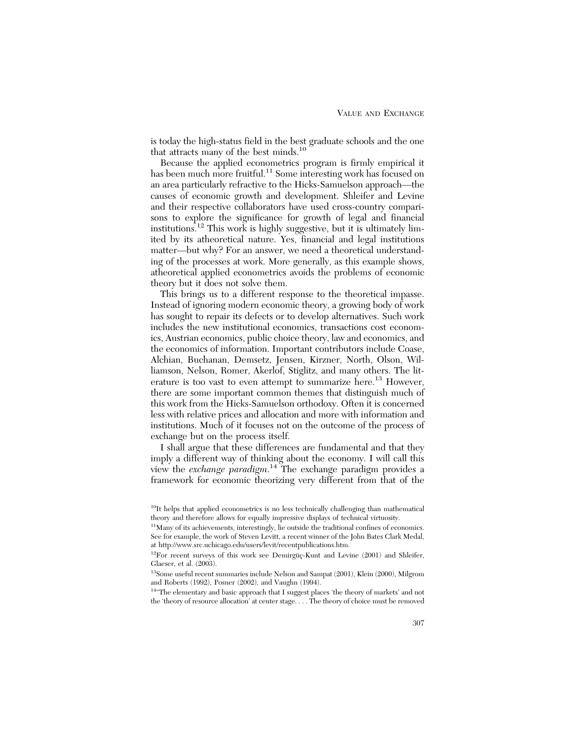is today the high-status field in the best graduate schools and the one that attracts many of the best minds.<sup>10</sup>

Because the applied econometrics program is firmly empirical it has been much more fruitful.<sup>11</sup> Some interesting work has focused on an area particularly refractive to the Hicks-Samuelson approach—the causes of economic growth and development. Shleifer and Levine and their respective collaborators have used cross-country comparisons to explore the significance for growth of legal and financial institutions.<sup>12</sup> This work is highly suggestive, but it is ultimately limited by its atheoretical nature. Yes, financial and legal institutions matter—but why? For an answer, we need a theoretical understanding of the processes at work. More generally, as this example shows, atheoretical applied econometrics avoids the problems of economic theory but it does not solve them.

This brings us to a different response to the theoretical impasse. Instead of ignoring modern economic theory, a growing body of work has sought to repair its defects or to develop alternatives. Such work includes the new institutional economics, transactions cost economics, Austrian economics, public choice theory, law and economics, and the economics of information. Important contributors include Coase, Alchian, Buchanan, Demsetz, Jensen, Kirzner, North, Olson, Williamson, Nelson, Romer, Akerlof, Stiglitz, and many others. The literature is too vast to even attempt to summarize here.<sup>13</sup> However, there are some important common themes that distinguish much of this work from the Hicks-Samuelson orthodoxy. Often it is concerned less with relative prices and allocation and more with information and institutions. Much of it focuses not on the outcome of the process of exchange but on the process itself.

I shall argue that these differences are fundamental and that they imply a different way of thinking about the economy. I will call this view the *exchange paradigm*. <sup>14</sup> The exchange paradigm provides a framework for economic theorizing very different from that of the

<sup>10</sup>It helps that applied econometrics is no less technically challenging than mathematical theory and therefore allows for equally impressive displays of technical virtuosity.

<sup>&</sup>lt;sup>11</sup>Many of its achievements, interestingly, lie outside the traditional confines of economics. See for example, the work of Steven Levitt, a recent winner of the John Bates Clark Medal, at http://www.src.uchicago.edu/users/levit/recentpublications.htm.

<sup>12</sup>For recent surveys of this work see Demirgüç-Kunt and Levine (2001) and Shleifer, Glaeser, et al. (2003).

<sup>&</sup>lt;sup>13</sup>Some useful recent summaries include Nelson and Sampat (2001), Klein (2000), Milgrom and Roberts (1992), Posner (2002), and Vaughn (1994).

<sup>&</sup>lt;sup>14"</sup>The elementary and basic approach that I suggest places 'the theory of markets' and not the 'theory of resource allocation' at center stage. . . . The theory of choice must be removed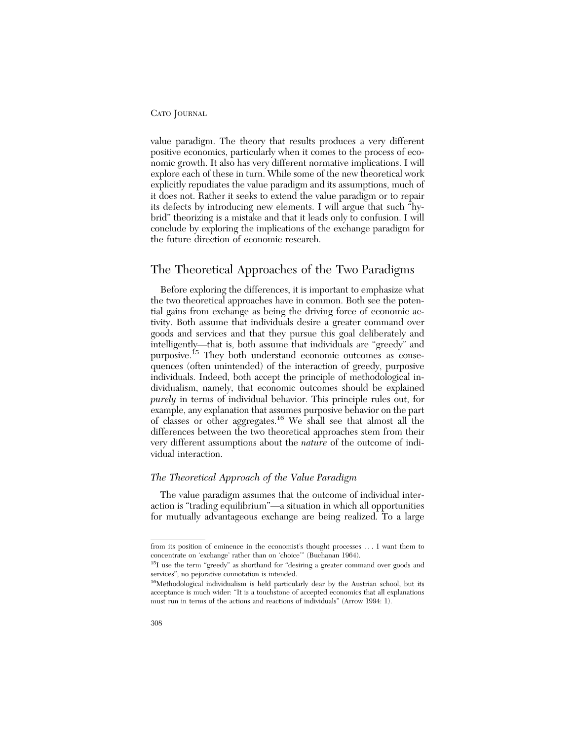value paradigm. The theory that results produces a very different positive economics, particularly when it comes to the process of economic growth. It also has very different normative implications. I will explore each of these in turn. While some of the new theoretical work explicitly repudiates the value paradigm and its assumptions, much of it does not. Rather it seeks to extend the value paradigm or to repair its defects by introducing new elements. I will argue that such "hybrid" theorizing is a mistake and that it leads only to confusion. I will conclude by exploring the implications of the exchange paradigm for the future direction of economic research.

## The Theoretical Approaches of the Two Paradigms

Before exploring the differences, it is important to emphasize what the two theoretical approaches have in common. Both see the potential gains from exchange as being the driving force of economic activity. Both assume that individuals desire a greater command over goods and services and that they pursue this goal deliberately and intelligently—that is, both assume that individuals are "greedy" and purposive.15 They both understand economic outcomes as consequences (often unintended) of the interaction of greedy, purposive individuals. Indeed, both accept the principle of methodological individualism, namely, that economic outcomes should be explained *purely* in terms of individual behavior. This principle rules out, for example, any explanation that assumes purposive behavior on the part of classes or other aggregates.16 We shall see that almost all the differences between the two theoretical approaches stem from their very different assumptions about the *nature* of the outcome of individual interaction.

## *The Theoretical Approach of the Value Paradigm*

The value paradigm assumes that the outcome of individual interaction is "trading equilibrium"—a situation in which all opportunities for mutually advantageous exchange are being realized. To a large

from its position of eminence in the economist's thought processes . . . I want them to concentrate on 'exchange' rather than on 'choice'" (Buchanan 1964).

<sup>&</sup>lt;sup>15</sup>I use the term "greedy" as shorthand for "desiring a greater command over goods and services"; no pejorative connotation is intended.

<sup>16</sup>Methodological individualism is held particularly dear by the Austrian school, but its acceptance is much wider: "It is a touchstone of accepted economics that all explanations must run in terms of the actions and reactions of individuals" (Arrow 1994: 1).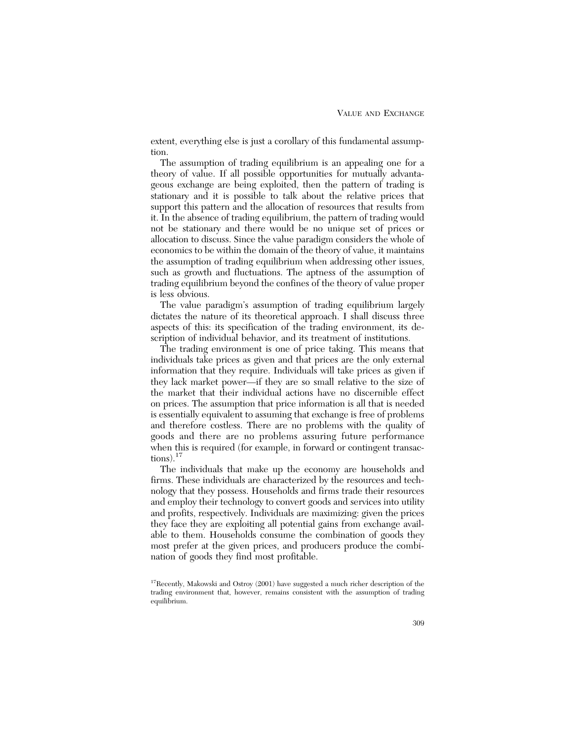extent, everything else is just a corollary of this fundamental assumption.

The assumption of trading equilibrium is an appealing one for a theory of value. If all possible opportunities for mutually advantageous exchange are being exploited, then the pattern of trading is stationary and it is possible to talk about the relative prices that support this pattern and the allocation of resources that results from it. In the absence of trading equilibrium, the pattern of trading would not be stationary and there would be no unique set of prices or allocation to discuss. Since the value paradigm considers the whole of economics to be within the domain of the theory of value, it maintains the assumption of trading equilibrium when addressing other issues, such as growth and fluctuations. The aptness of the assumption of trading equilibrium beyond the confines of the theory of value proper is less obvious.

The value paradigm's assumption of trading equilibrium largely dictates the nature of its theoretical approach. I shall discuss three aspects of this: its specification of the trading environment, its description of individual behavior, and its treatment of institutions.

The trading environment is one of price taking. This means that individuals take prices as given and that prices are the only external information that they require. Individuals will take prices as given if they lack market power—if they are so small relative to the size of the market that their individual actions have no discernible effect on prices. The assumption that price information is all that is needed is essentially equivalent to assuming that exchange is free of problems and therefore costless. There are no problems with the quality of goods and there are no problems assuring future performance when this is required (for example, in forward or contingent transactions). $17$ 

The individuals that make up the economy are households and firms. These individuals are characterized by the resources and technology that they possess. Households and firms trade their resources and employ their technology to convert goods and services into utility and profits, respectively. Individuals are maximizing: given the prices they face they are exploiting all potential gains from exchange available to them. Households consume the combination of goods they most prefer at the given prices, and producers produce the combination of goods they find most profitable.

<sup>&</sup>lt;sup>17</sup>Recently, Makowski and Ostroy (2001) have suggested a much richer description of the trading environment that, however, remains consistent with the assumption of trading equilibrium.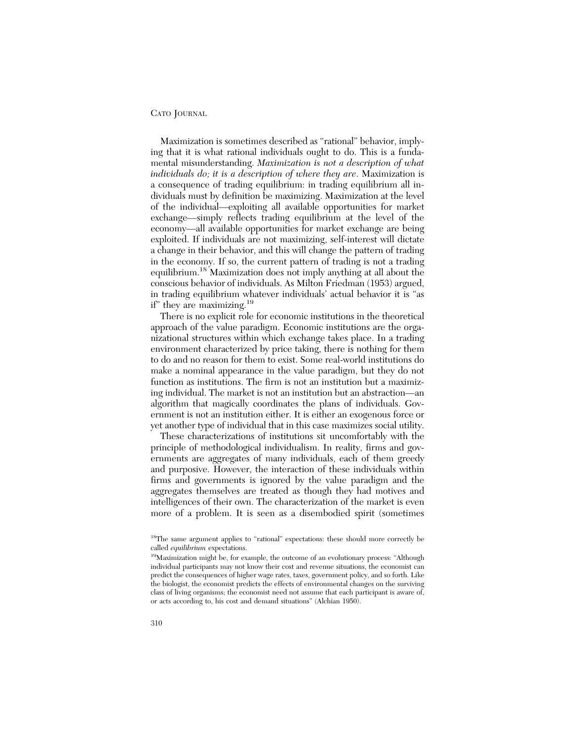Maximization is sometimes described as "rational" behavior, implying that it is what rational individuals ought to do. This is a fundamental misunderstanding. *Maximization is not a description of what individuals do; it is a description of where they are*. Maximization is a consequence of trading equilibrium: in trading equilibrium all individuals must by definition be maximizing. Maximization at the level of the individual—exploiting all available opportunities for market exchange—simply reflects trading equilibrium at the level of the economy—all available opportunities for market exchange are being exploited. If individuals are not maximizing, self-interest will dictate a change in their behavior, and this will change the pattern of trading in the economy. If so, the current pattern of trading is not a trading equilibrium.18 Maximization does not imply anything at all about the conscious behavior of individuals. As Milton Friedman (1953) argued, in trading equilibrium whatever individuals' actual behavior it is "as if" they are maximizing.<sup>19</sup>

There is no explicit role for economic institutions in the theoretical approach of the value paradigm. Economic institutions are the organizational structures within which exchange takes place. In a trading environment characterized by price taking, there is nothing for them to do and no reason for them to exist. Some real-world institutions do make a nominal appearance in the value paradigm, but they do not function as institutions. The firm is not an institution but a maximizing individual. The market is not an institution but an abstraction—an algorithm that magically coordinates the plans of individuals. Government is not an institution either. It is either an exogenous force or yet another type of individual that in this case maximizes social utility.

These characterizations of institutions sit uncomfortably with the principle of methodological individualism. In reality, firms and governments are aggregates of many individuals, each of them greedy and purposive. However, the interaction of these individuals within firms and governments is ignored by the value paradigm and the aggregates themselves are treated as though they had motives and intelligences of their own. The characterization of the market is even more of a problem. It is seen as a disembodied spirit (sometimes

<sup>&</sup>lt;sup>18</sup>The same argument applies to "rational" expectations: these should more correctly be called *equilibrium* expectations.

<sup>19</sup>Maximization might be, for example, the outcome of an evolutionary process: "Although individual participants may not know their cost and revenue situations, the economist can predict the consequences of higher wage rates, taxes, government policy, and so forth. Like the biologist, the economist predicts the effects of environmental changes on the surviving class of living organisms; the economist need not assume that each participant is aware of, or acts according to, his cost and demand situations" (Alchian 1950).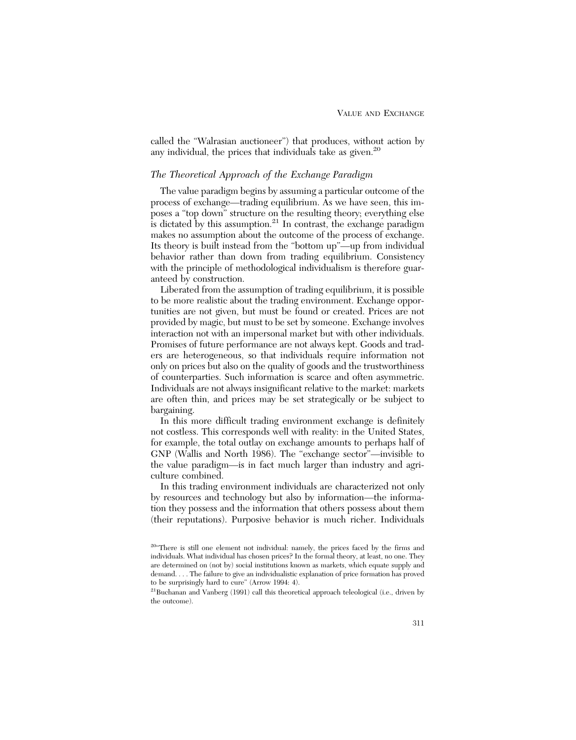called the "Walrasian auctioneer") that produces, without action by any individual, the prices that individuals take as given.<sup>20</sup>

## *The Theoretical Approach of the Exchange Paradigm*

The value paradigm begins by assuming a particular outcome of the process of exchange—trading equilibrium. As we have seen, this imposes a "top down" structure on the resulting theory; everything else is dictated by this assumption. $21$  In contrast, the exchange paradigm makes no assumption about the outcome of the process of exchange. Its theory is built instead from the "bottom up"—up from individual behavior rather than down from trading equilibrium. Consistency with the principle of methodological individualism is therefore guaranteed by construction.

Liberated from the assumption of trading equilibrium, it is possible to be more realistic about the trading environment. Exchange opportunities are not given, but must be found or created. Prices are not provided by magic, but must to be set by someone. Exchange involves interaction not with an impersonal market but with other individuals. Promises of future performance are not always kept. Goods and traders are heterogeneous, so that individuals require information not only on prices but also on the quality of goods and the trustworthiness of counterparties. Such information is scarce and often asymmetric. Individuals are not always insignificant relative to the market: markets are often thin, and prices may be set strategically or be subject to bargaining.

In this more difficult trading environment exchange is definitely not costless. This corresponds well with reality: in the United States, for example, the total outlay on exchange amounts to perhaps half of GNP (Wallis and North 1986). The "exchange sector"—invisible to the value paradigm—is in fact much larger than industry and agriculture combined.

In this trading environment individuals are characterized not only by resources and technology but also by information—the information they possess and the information that others possess about them (their reputations). Purposive behavior is much richer. Individuals

<sup>&</sup>lt;sup>20"</sup>There is still one element not individual: namely, the prices faced by the firms and individuals. What individual has chosen prices? In the formal theory, at least, no one. They are determined on (not by) social institutions known as markets, which equate supply and demand. . . . The failure to give an individualistic explanation of price formation has proved to be surprisingly hard to cure" (Arrow 1994: 4).

<sup>21</sup>Buchanan and Vanberg (1991) call this theoretical approach teleological (i.e., driven by the outcome).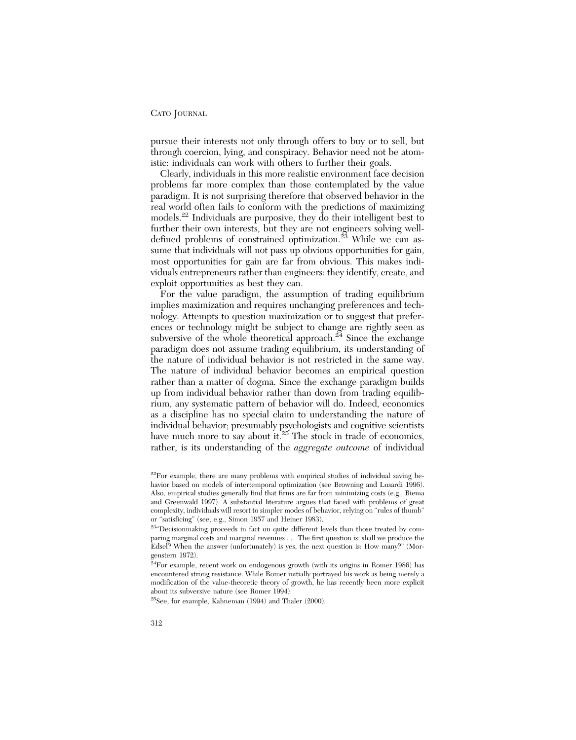pursue their interests not only through offers to buy or to sell, but through coercion, lying, and conspiracy. Behavior need not be atomistic: individuals can work with others to further their goals.

Clearly, individuals in this more realistic environment face decision problems far more complex than those contemplated by the value paradigm. It is not surprising therefore that observed behavior in the real world often fails to conform with the predictions of maximizing models.22 Individuals are purposive, they do their intelligent best to further their own interests, but they are not engineers solving welldefined problems of constrained optimization.<sup>23</sup> While we can assume that individuals will not pass up obvious opportunities for gain, most opportunities for gain are far from obvious. This makes individuals entrepreneurs rather than engineers: they identify, create, and exploit opportunities as best they can.

For the value paradigm, the assumption of trading equilibrium implies maximization and requires unchanging preferences and technology. Attempts to question maximization or to suggest that preferences or technology might be subject to change are rightly seen as subversive of the whole theoretical approach.<sup>24</sup> Since the exchange paradigm does not assume trading equilibrium, its understanding of the nature of individual behavior is not restricted in the same way. The nature of individual behavior becomes an empirical question rather than a matter of dogma. Since the exchange paradigm builds up from individual behavior rather than down from trading equilibrium, any systematic pattern of behavior will do. Indeed, economics as a discipline has no special claim to understanding the nature of individual behavior; presumably psychologists and cognitive scientists have much more to say about it. $25$  The stock in trade of economics, rather, is its understanding of the *aggregate outcome* of individual

 $25$ See, for example, Kahneman (1994) and Thaler (2000).

 $22$ For example, there are many problems with empirical studies of individual saving behavior based on models of intertemporal optimization (see Browning and Lusardi 1996). Also, empirical studies generally find that firms are far from minimizing costs (e.g., Biema and Greenwald 1997). A substantial literature argues that faced with problems of great complexity, individuals will resort to simpler modes of behavior, relying on "rules of thumb" or "satisficing" (see, e.g., Simon 1957 and Heiner 1983).

<sup>&</sup>lt;sup>23</sup>"Decisionmaking proceeds in fact on quite different levels than those treated by comparing marginal costs and marginal revenues . . . The first question is: shall we produce the Edsel? When the answer (unfortunately) is yes, the next question is: How many?" (Morgenstern 1972).

<sup>&</sup>lt;sup>24</sup>For example, recent work on endogenous growth (with its origins in Romer 1986) has encountered strong resistance. While Romer initially portrayed his work as being merely a modification of the value-theoretic theory of growth, he has recently been more explicit about its subversive nature (see Romer 1994).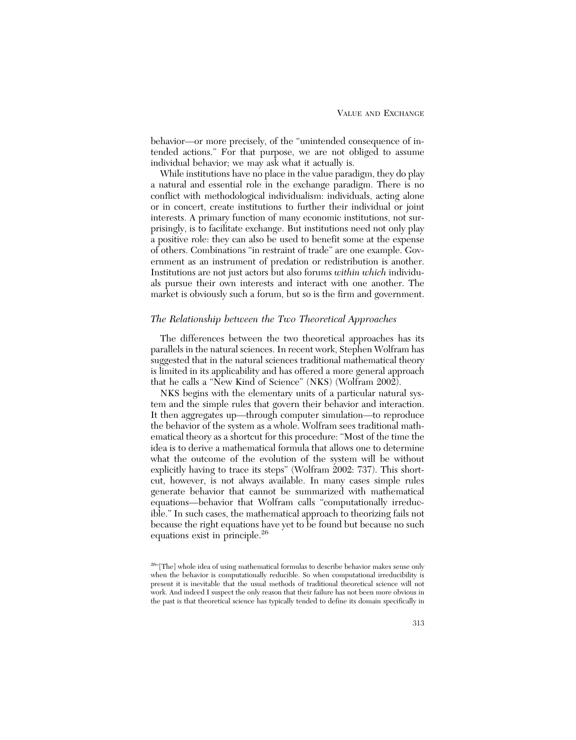behavior—or more precisely, of the "unintended consequence of intended actions." For that purpose, we are not obliged to assume individual behavior; we may ask what it actually is.

While institutions have no place in the value paradigm, they do play a natural and essential role in the exchange paradigm. There is no conflict with methodological individualism: individuals, acting alone or in concert, create institutions to further their individual or joint interests. A primary function of many economic institutions, not surprisingly, is to facilitate exchange. But institutions need not only play a positive role: they can also be used to benefit some at the expense of others. Combinations "in restraint of trade" are one example. Government as an instrument of predation or redistribution is another. Institutions are not just actors but also forums *within which* individuals pursue their own interests and interact with one another. The market is obviously such a forum, but so is the firm and government.

## *The Relationship between the Two Theoretical Approaches*

The differences between the two theoretical approaches has its parallels in the natural sciences. In recent work, Stephen Wolfram has suggested that in the natural sciences traditional mathematical theory is limited in its applicability and has offered a more general approach that he calls a "New Kind of Science" (NKS) (Wolfram 2002).

NKS begins with the elementary units of a particular natural system and the simple rules that govern their behavior and interaction. It then aggregates up—through computer simulation—to reproduce the behavior of the system as a whole. Wolfram sees traditional mathematical theory as a shortcut for this procedure: "Most of the time the idea is to derive a mathematical formula that allows one to determine what the outcome of the evolution of the system will be without explicitly having to trace its steps" (Wolfram 2002: 737). This shortcut, however, is not always available. In many cases simple rules generate behavior that cannot be summarized with mathematical equations—behavior that Wolfram calls "computationally irreducible." In such cases, the mathematical approach to theorizing fails not because the right equations have yet to be found but because no such equations exist in principle.<sup>26</sup>

<sup>26&</sup>quot;[The] whole idea of using mathematical formulas to describe behavior makes sense only when the behavior is computationally reducible. So when computational irreducibility is present it is inevitable that the usual methods of traditional theoretical science will not work. And indeed I suspect the only reason that their failure has not been more obvious in the past is that theoretical science has typically tended to define its domain specifically in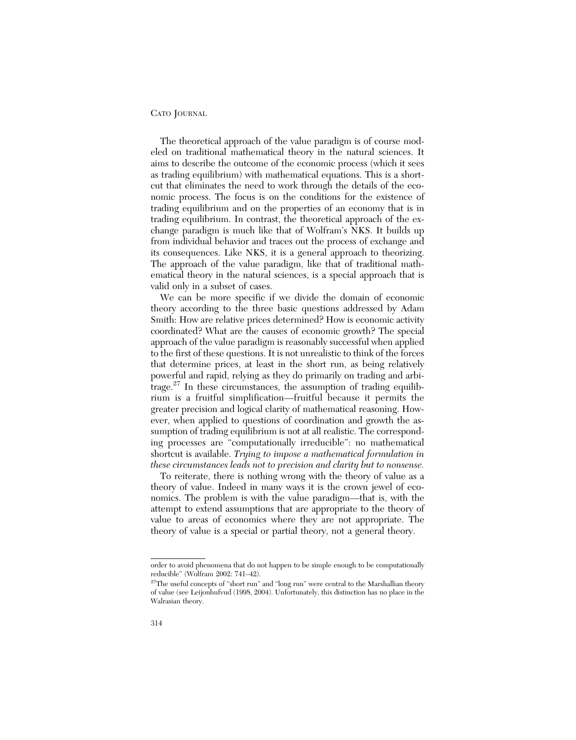The theoretical approach of the value paradigm is of course modeled on traditional mathematical theory in the natural sciences. It aims to describe the outcome of the economic process (which it sees as trading equilibrium) with mathematical equations. This is a shortcut that eliminates the need to work through the details of the economic process. The focus is on the conditions for the existence of trading equilibrium and on the properties of an economy that is in trading equilibrium. In contrast, the theoretical approach of the exchange paradigm is much like that of Wolfram's NKS. It builds up from individual behavior and traces out the process of exchange and its consequences. Like NKS, it is a general approach to theorizing. The approach of the value paradigm, like that of traditional mathematical theory in the natural sciences, is a special approach that is valid only in a subset of cases.

We can be more specific if we divide the domain of economic theory according to the three basic questions addressed by Adam Smith: How are relative prices determined? How is economic activity coordinated? What are the causes of economic growth? The special approach of the value paradigm is reasonably successful when applied to the first of these questions. It is not unrealistic to think of the forces that determine prices, at least in the short run, as being relatively powerful and rapid, relying as they do primarily on trading and arbitrage.<sup>27</sup> In these circumstances, the assumption of trading equilibrium is a fruitful simplification—fruitful because it permits the greater precision and logical clarity of mathematical reasoning. However, when applied to questions of coordination and growth the assumption of trading equilibrium is not at all realistic. The corresponding processes are "computationally irreducible": no mathematical shortcut is available. *Trying to impose a mathematical formulation in these circumstances leads not to precision and clarity but to nonsense.*

To reiterate, there is nothing wrong with the theory of value as a theory of value. Indeed in many ways it is the crown jewel of economics. The problem is with the value paradigm—that is, with the attempt to extend assumptions that are appropriate to the theory of value to areas of economics where they are not appropriate. The theory of value is a special or partial theory, not a general theory.

order to avoid phenomena that do not happen to be simple enough to be computationally reducible" (Wolfram 2002: 741–42).

<sup>&</sup>lt;sup>27</sup>The useful concepts of "short run" and "long run" were central to the Marshallian theory of value (see Leijonhufvud (1998, 2004). Unfortunately, this distinction has no place in the Walrasian theory.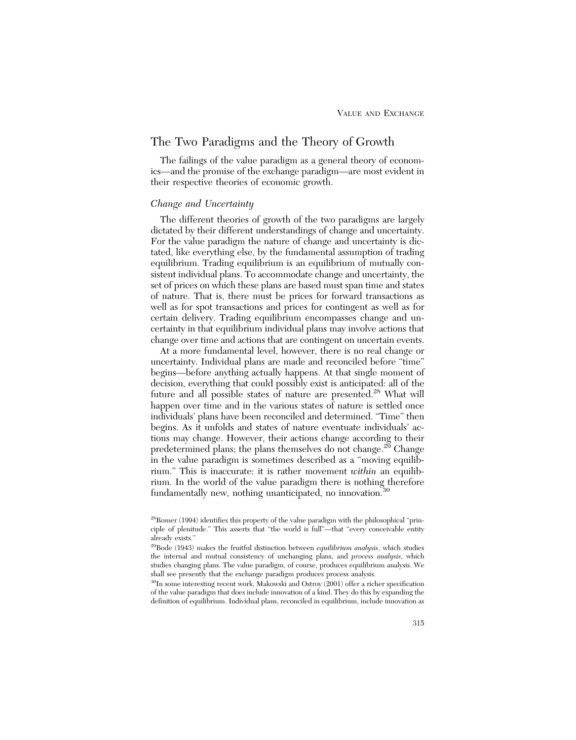## The Two Paradigms and the Theory of Growth

The failings of the value paradigm as a general theory of economics—and the promise of the exchange paradigm—are most evident in their respective theories of economic growth.

## *Change and Uncertainty*

The different theories of growth of the two paradigms are largely dictated by their different understandings of change and uncertainty. For the value paradigm the nature of change and uncertainty is dictated, like everything else, by the fundamental assumption of trading equilibrium. Trading equilibrium is an equilibrium of mutually consistent individual plans. To accommodate change and uncertainty, the set of prices on which these plans are based must span time and states of nature. That is, there must be prices for forward transactions as well as for spot transactions and prices for contingent as well as for certain delivery. Trading equilibrium encompasses change and uncertainty in that equilibrium individual plans may involve actions that change over time and actions that are contingent on uncertain events.

At a more fundamental level, however, there is no real change or uncertainty. Individual plans are made and reconciled before "time" begins—before anything actually happens. At that single moment of decision, everything that could possibly exist is anticipated: all of the future and all possible states of nature are presented.<sup>28</sup> What will happen over time and in the various states of nature is settled once individuals' plans have been reconciled and determined. "Time" then begins. As it unfolds and states of nature eventuate individuals' actions may change. However, their actions change according to their predetermined plans; the plans themselves do not change.<sup>29</sup> Change in the value paradigm is sometimes described as a "moving equilibrium." This is inaccurate: it is rather movement *within* an equilibrium. In the world of the value paradigm there is nothing therefore fundamentally new, nothing unanticipated, no innovation.<sup>30</sup>

30In some interesting recent work, Makowski and Ostroy (2001) offer a richer specification of the value paradigm that does include innovation of a kind. They do this by expanding the definition of equilibrium. Individual plans, reconciled in equilibrium, include innovation as

<sup>28</sup>Romer (1994) identifies this property of the value paradigm with the philosophical "principle of plenitude." This asserts that "the world is full"—that "every conceivable entity already exists."

<sup>29</sup>Bode (1943) makes the fruitful distinction between *equilibrium analysis*, which studies the internal and mutual consistency of unchanging plans, and *process analysis*, which studies changing plans. The value paradigm, of course, produces equilibrium analysis. We shall see presently that the exchange paradigm produces process analysis.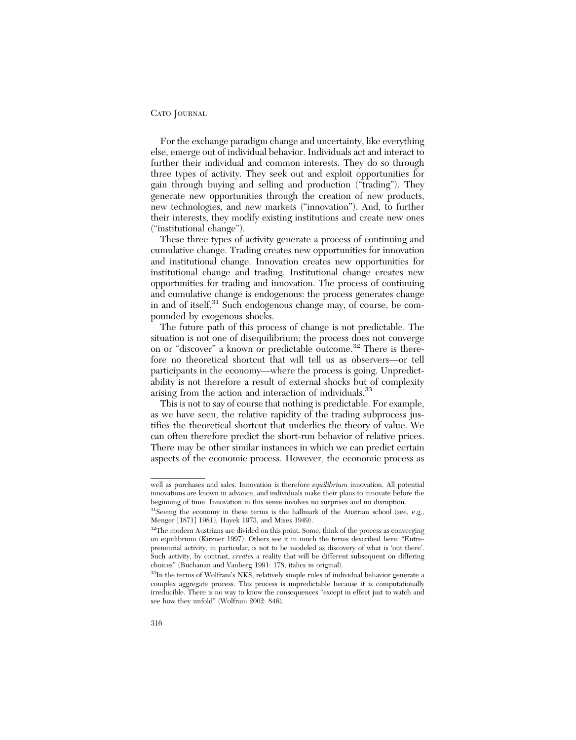For the exchange paradigm change and uncertainty, like everything else, emerge out of individual behavior. Individuals act and interact to further their individual and common interests. They do so through three types of activity. They seek out and exploit opportunities for gain through buying and selling and production ("trading"). They generate new opportunities through the creation of new products, new technologies, and new markets ("innovation"). And, to further their interests, they modify existing institutions and create new ones ("institutional change").

These three types of activity generate a process of continuing and cumulative change. Trading creates new opportunities for innovation and institutional change. Innovation creates new opportunities for institutional change and trading. Institutional change creates new opportunities for trading and innovation. The process of continuing and cumulative change is endogenous: the process generates change in and of itself.<sup>31</sup> Such endogenous change may, of course, be compounded by exogenous shocks.

The future path of this process of change is not predictable. The situation is not one of disequilibrium; the process does not converge on or "discover" a known or predictable outcome.<sup>32</sup> There is therefore no theoretical shortcut that will tell us as observers—or tell participants in the economy—where the process is going. Unpredictability is not therefore a result of external shocks but of complexity arising from the action and interaction of individuals.<sup>33</sup>

This is not to say of course that nothing is predictable. For example, as we have seen, the relative rapidity of the trading subprocess justifies the theoretical shortcut that underlies the theory of value. We can often therefore predict the short-run behavior of relative prices. There may be other similar instances in which we can predict certain aspects of the economic process. However, the economic process as

well as purchases and sales. Innovation is therefore *equilibrium* innovation. All potential innovations are known in advance, and individuals make their plans to innovate before the beginning of time. Innovation in this sense involves no surprises and no disruption.

 $31$ Seeing the economy in these terms is the hallmark of the Austrian school (see, e.g., Menger [1871] 1981), Hayek 1973, and Mises 1949).

<sup>&</sup>lt;sup>32</sup>The modern Austrians are divided on this point. Some, think of the process as converging on equilibrium (Kirzner 1997). Others see it in much the terms described here: "Entrepreneurial activity, in particular, is not to be modeled as discovery of what is 'out there'. Such activity, by contrast, *creates* a reality that will be different subsequent on differing choices" (Buchanan and Vanberg 1991: 178; italics in original).

<sup>&</sup>lt;sup>33</sup>In the terms of Wolfram's NKS, relatively simple rules of individual behavior generate a complex aggregate process. This process is unpredictable because it is computationally irreducible. There is no way to know the consequences "except in effect just to watch and see how they unfold" (Wolfram 2002: 846).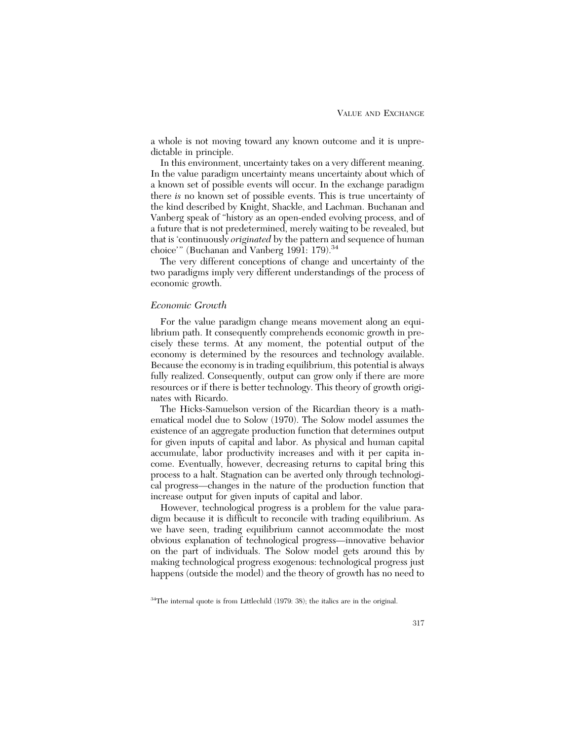a whole is not moving toward any known outcome and it is unpredictable in principle.

In this environment, uncertainty takes on a very different meaning. In the value paradigm uncertainty means uncertainty about which of a known set of possible events will occur. In the exchange paradigm there *is* no known set of possible events. This is true uncertainty of the kind described by Knight, Shackle, and Lachman. Buchanan and Vanberg speak of "history as an open-ended evolving process, and of a future that is not predetermined, merely waiting to be revealed, but that is 'continuously *originated* by the pattern and sequence of human choice'" (Buchanan and Vanberg 1991: 179).<sup>34</sup>

The very different conceptions of change and uncertainty of the two paradigms imply very different understandings of the process of economic growth.

## *Economic Growth*

For the value paradigm change means movement along an equilibrium path. It consequently comprehends economic growth in precisely these terms. At any moment, the potential output of the economy is determined by the resources and technology available. Because the economy is in trading equilibrium, this potential is always fully realized. Consequently, output can grow only if there are more resources or if there is better technology. This theory of growth originates with Ricardo.

The Hicks-Samuelson version of the Ricardian theory is a mathematical model due to Solow (1970). The Solow model assumes the existence of an aggregate production function that determines output for given inputs of capital and labor. As physical and human capital accumulate, labor productivity increases and with it per capita income. Eventually, however, decreasing returns to capital bring this process to a halt. Stagnation can be averted only through technological progress—changes in the nature of the production function that increase output for given inputs of capital and labor.

However, technological progress is a problem for the value paradigm because it is difficult to reconcile with trading equilibrium. As we have seen, trading equilibrium cannot accommodate the most obvious explanation of technological progress—innovative behavior on the part of individuals. The Solow model gets around this by making technological progress exogenous: technological progress just happens (outside the model) and the theory of growth has no need to

<sup>&</sup>lt;sup>34</sup>The internal quote is from Littlechild (1979: 38); the italics are in the original.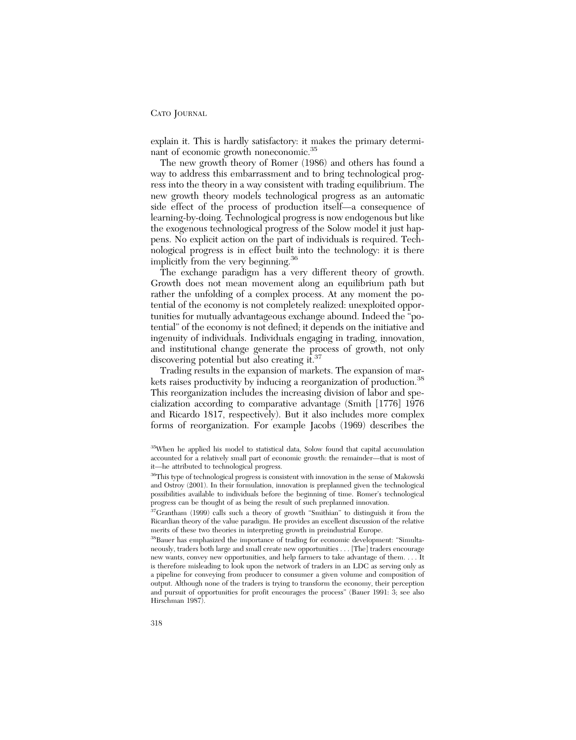explain it. This is hardly satisfactory: it makes the primary determinant of economic growth noneconomic.<sup>35</sup>

The new growth theory of Romer (1986) and others has found a way to address this embarrassment and to bring technological progress into the theory in a way consistent with trading equilibrium. The new growth theory models technological progress as an automatic side effect of the process of production itself—a consequence of learning-by-doing. Technological progress is now endogenous but like the exogenous technological progress of the Solow model it just happens. No explicit action on the part of individuals is required. Technological progress is in effect built into the technology: it is there implicitly from the very beginning.<sup>36</sup>

The exchange paradigm has a very different theory of growth. Growth does not mean movement along an equilibrium path but rather the unfolding of a complex process. At any moment the potential of the economy is not completely realized: unexploited opportunities for mutually advantageous exchange abound. Indeed the "potential" of the economy is not defined; it depends on the initiative and ingenuity of individuals. Individuals engaging in trading, innovation, and institutional change generate the process of growth, not only discovering potential but also creating it.<sup>37</sup>

Trading results in the expansion of markets. The expansion of markets raises productivity by inducing a reorganization of production.<sup>38</sup> This reorganization includes the increasing division of labor and specialization according to comparative advantage (Smith [1776] 1976 and Ricardo 1817, respectively). But it also includes more complex forms of reorganization. For example Jacobs (1969) describes the

<sup>35</sup>When he applied his model to statistical data, Solow found that capital accumulation accounted for a relatively small part of economic growth: the remainder—that is most of it—he attributed to technological progress.

<sup>&</sup>lt;sup>36</sup>This type of technological progress is consistent with innovation in the sense of Makowski and Ostroy (2001). In their formulation, innovation is preplanned given the technological possibilities available to individuals before the beginning of time. Romer's technological progress can be thought of as being the result of such preplanned innovation.

<sup>&</sup>lt;sup>37</sup>Grantham (1999) calls such a theory of growth "Smithian" to distinguish it from the Ricardian theory of the value paradigm. He provides an excellent discussion of the relative merits of these two theories in interpreting growth in preindustrial Europe.

<sup>38</sup>Bauer has emphasized the importance of trading for economic development: "Simultaneously, traders both large and small create new opportunities . . . [The] traders encourage new wants, convey new opportunities, and help farmers to take advantage of them. . . . It is therefore misleading to look upon the network of traders in an LDC as serving only as a pipeline for conveying from producer to consumer a given volume and composition of output. Although none of the traders is trying to transform the economy, their perception and pursuit of opportunities for profit encourages the process" (Bauer 1991: 3; see also Hirschman 1987).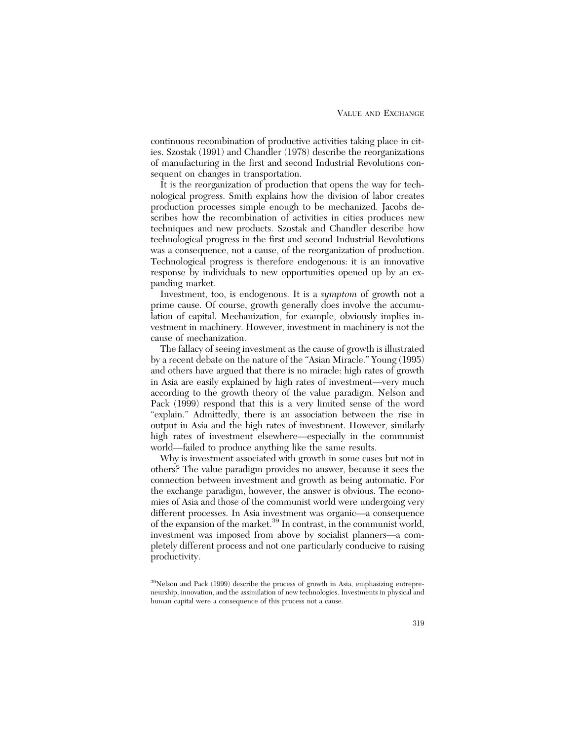continuous recombination of productive activities taking place in cities. Szostak (1991) and Chandler (1978) describe the reorganizations of manufacturing in the first and second Industrial Revolutions consequent on changes in transportation.

It is the reorganization of production that opens the way for technological progress. Smith explains how the division of labor creates production processes simple enough to be mechanized. Jacobs describes how the recombination of activities in cities produces new techniques and new products. Szostak and Chandler describe how technological progress in the first and second Industrial Revolutions was a consequence, not a cause, of the reorganization of production. Technological progress is therefore endogenous: it is an innovative response by individuals to new opportunities opened up by an expanding market.

Investment, too, is endogenous. It is a *symptom* of growth not a prime cause. Of course, growth generally does involve the accumulation of capital. Mechanization, for example, obviously implies investment in machinery. However, investment in machinery is not the cause of mechanization.

The fallacy of seeing investment as the cause of growth is illustrated by a recent debate on the nature of the "Asian Miracle." Young (1995) and others have argued that there is no miracle: high rates of growth in Asia are easily explained by high rates of investment—very much according to the growth theory of the value paradigm. Nelson and Pack (1999) respond that this is a very limited sense of the word "explain." Admittedly, there is an association between the rise in output in Asia and the high rates of investment. However, similarly high rates of investment elsewhere—especially in the communist world—failed to produce anything like the same results.

Why is investment associated with growth in some cases but not in others? The value paradigm provides no answer, because it sees the connection between investment and growth as being automatic. For the exchange paradigm, however, the answer is obvious. The economies of Asia and those of the communist world were undergoing very different processes. In Asia investment was organic—a consequence of the expansion of the market.39 In contrast, in the communist world, investment was imposed from above by socialist planners—a completely different process and not one particularly conducive to raising productivity.

<sup>39</sup>Nelson and Pack (1999) describe the process of growth in Asia, emphasizing entrepreneurship, innovation, and the assimilation of new technologies. Investments in physical and human capital were a consequence of this process not a cause.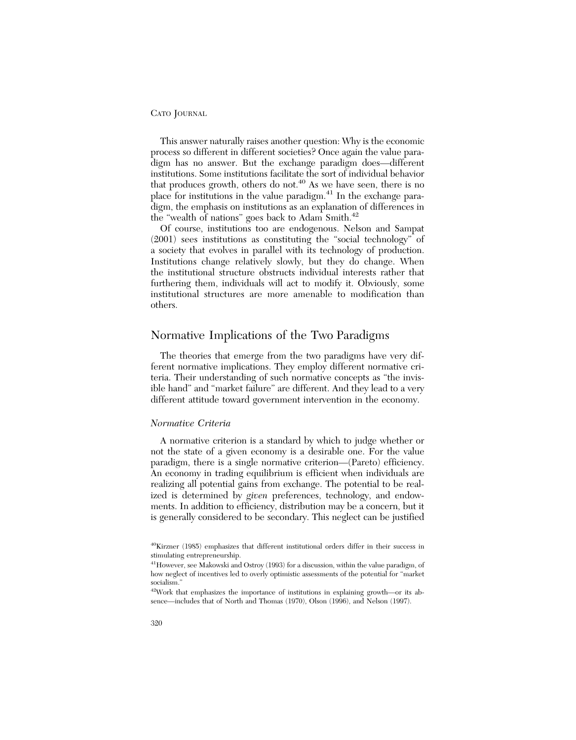This answer naturally raises another question: Why is the economic process so different in different societies? Once again the value paradigm has no answer. But the exchange paradigm does—different institutions. Some institutions facilitate the sort of individual behavior that produces growth, others do not.<sup>40</sup> As we have seen, there is no place for institutions in the value paradigm.41 In the exchange paradigm, the emphasis on institutions as an explanation of differences in the "wealth of nations" goes back to Adam Smith.<sup>42</sup>

Of course, institutions too are endogenous. Nelson and Sampat (2001) sees institutions as constituting the "social technology" of a society that evolves in parallel with its technology of production. Institutions change relatively slowly, but they do change. When the institutional structure obstructs individual interests rather that furthering them, individuals will act to modify it. Obviously, some institutional structures are more amenable to modification than others.

## Normative Implications of the Two Paradigms

The theories that emerge from the two paradigms have very different normative implications. They employ different normative criteria. Their understanding of such normative concepts as "the invisible hand" and "market failure" are different. And they lead to a very different attitude toward government intervention in the economy.

## *Normative Criteria*

A normative criterion is a standard by which to judge whether or not the state of a given economy is a desirable one. For the value paradigm, there is a single normative criterion—(Pareto) efficiency. An economy in trading equilibrium is efficient when individuals are realizing all potential gains from exchange. The potential to be realized is determined by *given* preferences, technology, and endowments. In addition to efficiency, distribution may be a concern, but it is generally considered to be secondary. This neglect can be justified

<sup>40</sup>Kirzner (1985) emphasizes that different institutional orders differ in their success in stimulating entrepreneurship.

<sup>&</sup>lt;sup>41</sup>However, see Makowski and Ostroy (1993) for a discussion, within the value paradigm, of how neglect of incentives led to overly optimistic assessments of the potential for "market socialism."

<sup>42</sup>Work that emphasizes the importance of institutions in explaining growth—or its absence—includes that of North and Thomas (1970), Olson (1996), and Nelson (1997).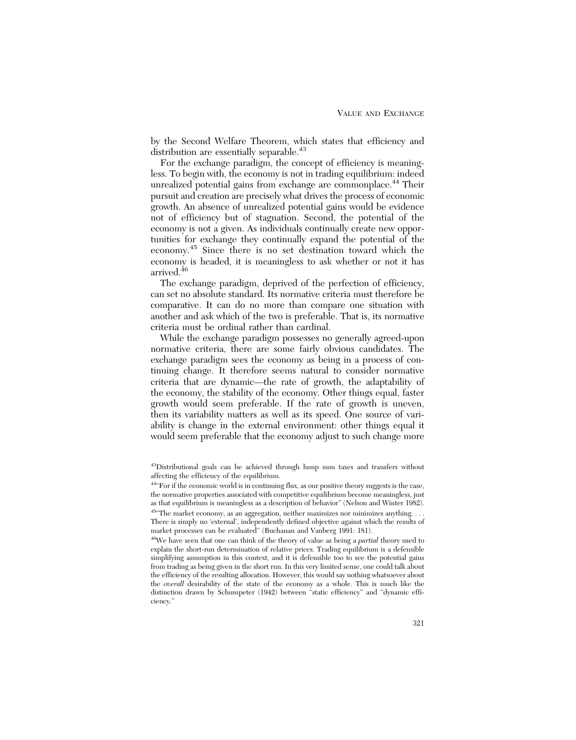by the Second Welfare Theorem, which states that efficiency and distribution are essentially separable.<sup>43</sup>

For the exchange paradigm, the concept of efficiency is meaningless. To begin with, the economy is not in trading equilibrium: indeed unrealized potential gains from exchange are commonplace.<sup>44</sup> Their pursuit and creation are precisely what drives the process of economic growth. An absence of unrealized potential gains would be evidence not of efficiency but of stagnation. Second, the potential of the economy is not a given. As individuals continually create new opportunities for exchange they continually expand the potential of the economy.<sup>45</sup> Since there is no set destination toward which the economy is headed, it is meaningless to ask whether or not it has arrived.<sup>46</sup>

The exchange paradigm, deprived of the perfection of efficiency, can set no absolute standard. Its normative criteria must therefore be comparative. It can do no more than compare one situation with another and ask which of the two is preferable. That is, its normative criteria must be ordinal rather than cardinal.

While the exchange paradigm possesses no generally agreed-upon normative criteria, there are some fairly obvious candidates. The exchange paradigm sees the economy as being in a process of continuing change. It therefore seems natural to consider normative criteria that are dynamic—the rate of growth, the adaptability of the economy, the stability of the economy. Other things equal, faster growth would seem preferable. If the rate of growth is uneven, then its variability matters as well as its speed. One source of variability is change in the external environment: other things equal it would seem preferable that the economy adjust to such change more

<sup>43</sup>Distributional goals can be achieved through lump sum taxes and transfers without affecting the efficiency of the equilibrium.

<sup>44&</sup>quot;For if the economic world is in continuing flux, as our positive theory suggests is the case, the normative properties associated with competitive equilibrium become meaningless, just as that equilibrium is meaningless as a description of behavior" (Nelson and Winter 1982).  $^{45}$  The market economy, as an aggregation, neither maximizes nor minimizes anything. . . .

There is simply no 'external', independently defined objective against which the results of market processes can be evaluated" (Buchanan and Vanberg 1991: 181).

<sup>46</sup>We have seen that one can think of the theory of value as being a *partial* theory used to explain the short-run determination of relative prices. Trading equilibrium is a defensible simplifying assumption in this context, and it is defensible too to see the potential gains from trading as being given in the short run. In this very limited sense, one could talk about the efficiency of the resulting allocation. However, this would say nothing whatsoever about the *overall* desirability of the state of the economy as a whole. This is much like the distinction drawn by Schumpeter (1942) between "static efficiency" and "dynamic efficiency."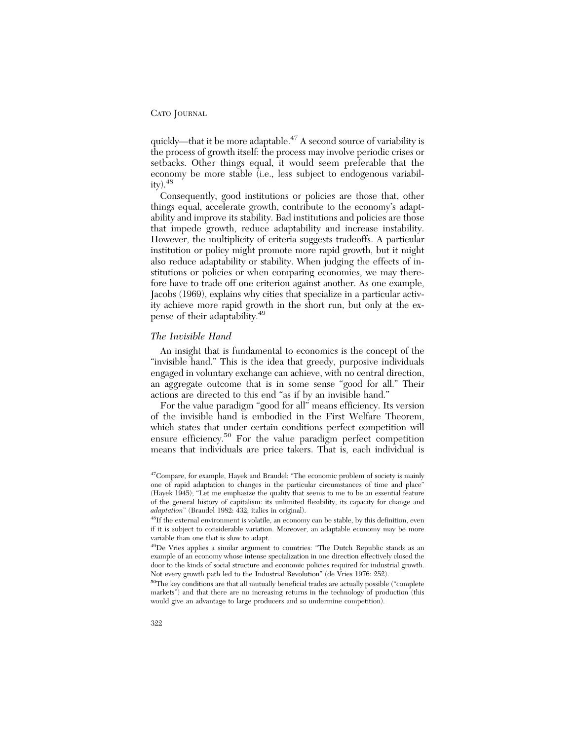quickly—that it be more adaptable.<sup>47</sup> A second source of variability is the process of growth itself: the process may involve periodic crises or setbacks. Other things equal, it would seem preferable that the economy be more stable (i.e., less subject to endogenous variabil $ity).48$ 

Consequently, good institutions or policies are those that, other things equal, accelerate growth, contribute to the economy's adaptability and improve its stability. Bad institutions and policies are those that impede growth, reduce adaptability and increase instability. However, the multiplicity of criteria suggests tradeoffs. A particular institution or policy might promote more rapid growth, but it might also reduce adaptability or stability. When judging the effects of institutions or policies or when comparing economies, we may therefore have to trade off one criterion against another. As one example, Jacobs (1969), explains why cities that specialize in a particular activity achieve more rapid growth in the short run, but only at the expense of their adaptability.49

## *The Invisible Hand*

An insight that is fundamental to economics is the concept of the "invisible hand." This is the idea that greedy, purposive individuals engaged in voluntary exchange can achieve, with no central direction, an aggregate outcome that is in some sense "good for all." Their actions are directed to this end "as if by an invisible hand."

For the value paradigm "good for all" means efficiency. Its version of the invisible hand is embodied in the First Welfare Theorem, which states that under certain conditions perfect competition will ensure efficiency.<sup>50</sup> For the value paradigm perfect competition means that individuals are price takers. That is, each individual is

<sup>&</sup>lt;sup>47</sup>Compare, for example, Hayek and Braudel: "The economic problem of society is mainly one of rapid adaptation to changes in the particular circumstances of time and place" (Hayek 1945); "Let me emphasize the quality that seems to me to be an essential feature of the general history of capitalism: its unlimited flexibility, its capacity for change and *adaptation*" (Braudel 1982: 432; italics in original).

<sup>48</sup>If the external environment is volatile, an economy can be stable, by this definition, even if it is subject to considerable variation. Moreover, an adaptable economy may be more variable than one that is slow to adapt.

<sup>49</sup>De Vries applies a similar argument to countries: "The Dutch Republic stands as an example of an economy whose intense specialization in one direction effectively closed the door to the kinds of social structure and economic policies required for industrial growth. Not every growth path led to the Industrial Revolution" (de Vries 1976: 252).

<sup>50</sup>The key conditions are that all mutually beneficial trades are actually possible ("complete markets") and that there are no increasing returns in the technology of production (this would give an advantage to large producers and so undermine competition).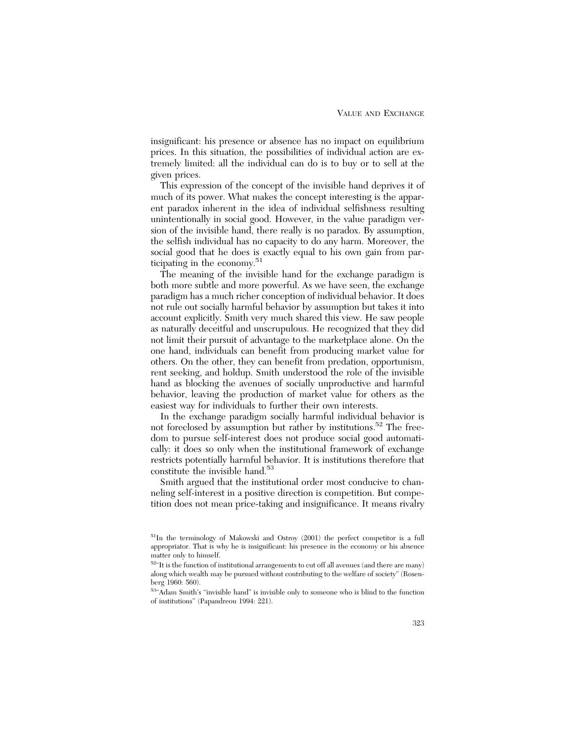insignificant: his presence or absence has no impact on equilibrium prices. In this situation, the possibilities of individual action are extremely limited: all the individual can do is to buy or to sell at the given prices.

This expression of the concept of the invisible hand deprives it of much of its power. What makes the concept interesting is the apparent paradox inherent in the idea of individual selfishness resulting unintentionally in social good. However, in the value paradigm version of the invisible hand, there really is no paradox. By assumption, the selfish individual has no capacity to do any harm. Moreover, the social good that he does is exactly equal to his own gain from participating in the economy.<sup>51</sup>

The meaning of the invisible hand for the exchange paradigm is both more subtle and more powerful. As we have seen, the exchange paradigm has a much richer conception of individual behavior. It does not rule out socially harmful behavior by assumption but takes it into account explicitly. Smith very much shared this view. He saw people as naturally deceitful and unscrupulous. He recognized that they did not limit their pursuit of advantage to the marketplace alone. On the one hand, individuals can benefit from producing market value for others. On the other, they can benefit from predation, opportunism, rent seeking, and holdup. Smith understood the role of the invisible hand as blocking the avenues of socially unproductive and harmful behavior, leaving the production of market value for others as the easiest way for individuals to further their own interests.

In the exchange paradigm socially harmful individual behavior is not foreclosed by assumption but rather by institutions.<sup>52</sup> The freedom to pursue self-interest does not produce social good automatically: it does so only when the institutional framework of exchange restricts potentially harmful behavior. It is institutions therefore that constitute the invisible hand.<sup>53</sup>

Smith argued that the institutional order most conducive to channeling self-interest in a positive direction is competition. But competition does not mean price-taking and insignificance. It means rivalry

<sup>&</sup>lt;sup>51</sup>In the terminology of Makowski and Ostroy (2001) the perfect competitor is a full appropriator. That is why he is insignificant: his presence in the economy or his absence matter only to himself.

 $52\text{°}$ It is the function of institutional arrangements to cut off all avenues (and there are many) along which wealth may be pursued without contributing to the welfare of society" (Rosenberg 1960: 560).

<sup>53&</sup>quot;Adam Smith's "invisible hand" is invisible only to someone who is blind to the function of institutions" (Papandreou 1994: 221).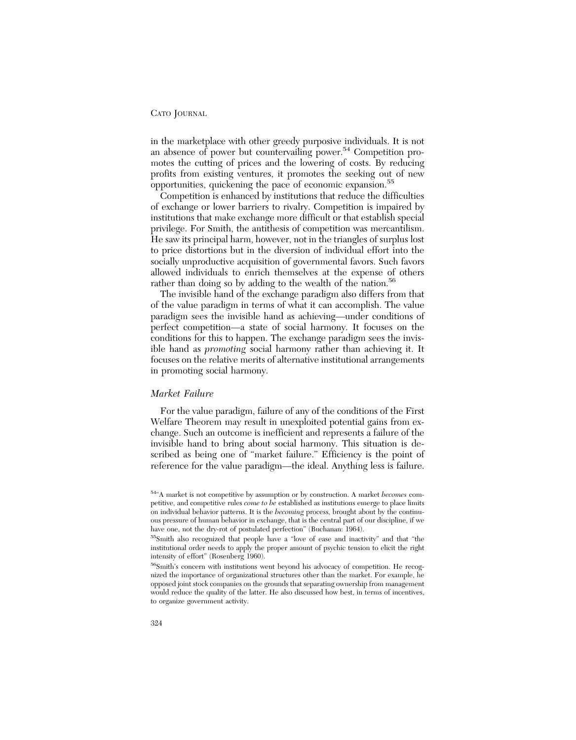in the marketplace with other greedy purposive individuals. It is not an absence of power but countervailing power.<sup>54</sup> Competition promotes the cutting of prices and the lowering of costs. By reducing profits from existing ventures, it promotes the seeking out of new opportunities, quickening the pace of economic expansion.55

Competition is enhanced by institutions that reduce the difficulties of exchange or lower barriers to rivalry. Competition is impaired by institutions that make exchange more difficult or that establish special privilege. For Smith, the antithesis of competition was mercantilism. He saw its principal harm, however, not in the triangles of surplus lost to price distortions but in the diversion of individual effort into the socially unproductive acquisition of governmental favors. Such favors allowed individuals to enrich themselves at the expense of others rather than doing so by adding to the wealth of the nation.<sup>56</sup>

The invisible hand of the exchange paradigm also differs from that of the value paradigm in terms of what it can accomplish. The value paradigm sees the invisible hand as achieving—under conditions of perfect competition—a state of social harmony. It focuses on the conditions for this to happen. The exchange paradigm sees the invisible hand as *promoting* social harmony rather than achieving it. It focuses on the relative merits of alternative institutional arrangements in promoting social harmony.

## *Market Failure*

For the value paradigm, failure of any of the conditions of the First Welfare Theorem may result in unexploited potential gains from exchange. Such an outcome is inefficient and represents a failure of the invisible hand to bring about social harmony. This situation is described as being one of "market failure." Efficiency is the point of reference for the value paradigm—the ideal. Anything less is failure.

<sup>54&</sup>quot;A market is not competitive by assumption or by construction. A market *becomes* competitive, and competitive rules *come to be* established as institutions emerge to place limits on individual behavior patterns. It is the *becoming* process, brought about by the continuous pressure of human behavior in exchange, that is the central part of our discipline, if we have one, not the dry-rot of postulated perfection" (Buchanan: 1964).

<sup>55</sup>Smith also recognized that people have a "love of ease and inactivity" and that "the institutional order needs to apply the proper amount of psychic tension to elicit the right intensity of effort" (Rosenberg 1960).

<sup>56</sup>Smith's concern with institutions went beyond his advocacy of competition. He recognized the importance of organizational structures other than the market. For example, he opposed joint stock companies on the grounds that separating ownership from management would reduce the quality of the latter. He also discussed how best, in terms of incentives, to organize government activity.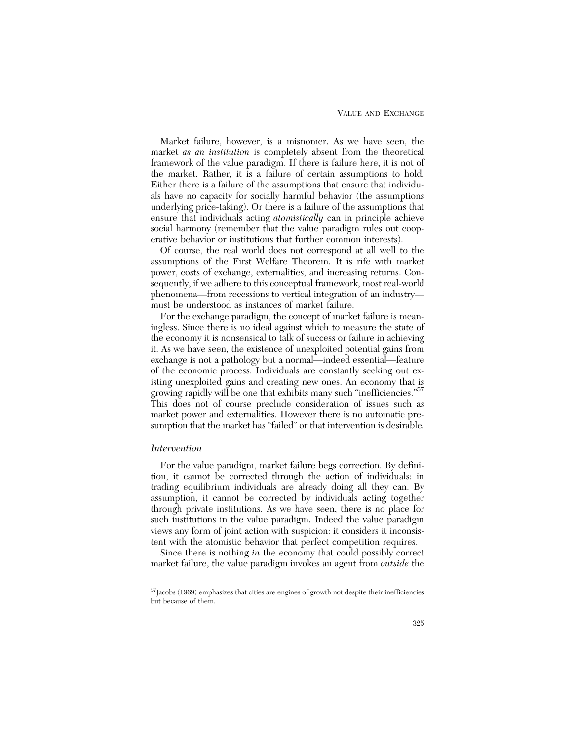#### VALUE AND EXCHANGE

Market failure, however, is a misnomer. As we have seen, the market *as an institution* is completely absent from the theoretical framework of the value paradigm. If there is failure here, it is not of the market. Rather, it is a failure of certain assumptions to hold. Either there is a failure of the assumptions that ensure that individuals have no capacity for socially harmful behavior (the assumptions underlying price-taking). Or there is a failure of the assumptions that ensure that individuals acting *atomistically* can in principle achieve social harmony (remember that the value paradigm rules out cooperative behavior or institutions that further common interests).

Of course, the real world does not correspond at all well to the assumptions of the First Welfare Theorem. It is rife with market power, costs of exchange, externalities, and increasing returns. Consequently, if we adhere to this conceptual framework, most real-world phenomena—from recessions to vertical integration of an industry must be understood as instances of market failure.

For the exchange paradigm, the concept of market failure is meaningless. Since there is no ideal against which to measure the state of the economy it is nonsensical to talk of success or failure in achieving it. As we have seen, the existence of unexploited potential gains from exchange is not a pathology but a normal—indeed essential—feature of the economic process. Individuals are constantly seeking out existing unexploited gains and creating new ones. An economy that is growing rapidly will be one that exhibits many such "inefficiencies."<sup>57</sup> This does not of course preclude consideration of issues such as market power and externalities. However there is no automatic presumption that the market has "failed" or that intervention is desirable.

#### *Intervention*

For the value paradigm, market failure begs correction. By definition, it cannot be corrected through the action of individuals: in trading equilibrium individuals are already doing all they can. By assumption, it cannot be corrected by individuals acting together through private institutions. As we have seen, there is no place for such institutions in the value paradigm. Indeed the value paradigm views any form of joint action with suspicion: it considers it inconsistent with the atomistic behavior that perfect competition requires.

Since there is nothing *in* the economy that could possibly correct market failure, the value paradigm invokes an agent from *outside* the

 $57$ Jacobs (1969) emphasizes that cities are engines of growth not despite their inefficiencies but because of them.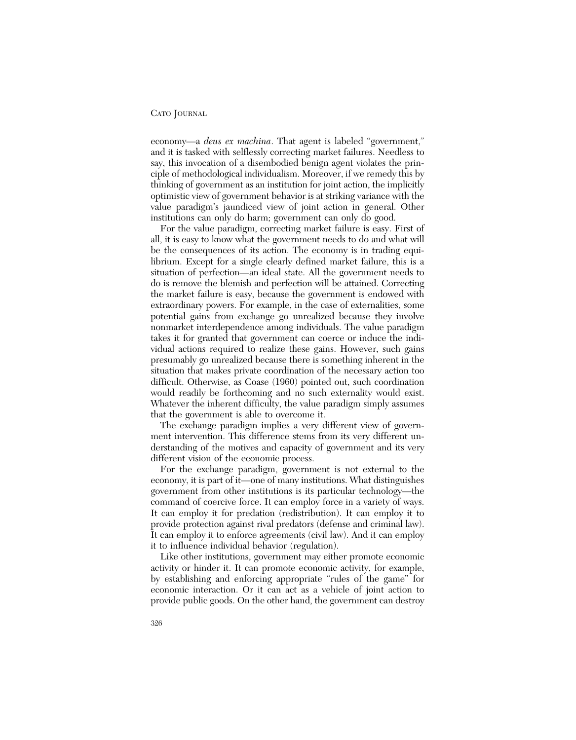economy—a *deus ex machina*. That agent is labeled "government," and it is tasked with selflessly correcting market failures. Needless to say, this invocation of a disembodied benign agent violates the principle of methodological individualism. Moreover, if we remedy this by thinking of government as an institution for joint action, the implicitly optimistic view of government behavior is at striking variance with the value paradigm's jaundiced view of joint action in general. Other institutions can only do harm; government can only do good.

For the value paradigm, correcting market failure is easy. First of all, it is easy to know what the government needs to do and what will be the consequences of its action. The economy is in trading equilibrium. Except for a single clearly defined market failure, this is a situation of perfection—an ideal state. All the government needs to do is remove the blemish and perfection will be attained. Correcting the market failure is easy, because the government is endowed with extraordinary powers. For example, in the case of externalities, some potential gains from exchange go unrealized because they involve nonmarket interdependence among individuals. The value paradigm takes it for granted that government can coerce or induce the individual actions required to realize these gains. However, such gains presumably go unrealized because there is something inherent in the situation that makes private coordination of the necessary action too difficult. Otherwise, as Coase (1960) pointed out, such coordination would readily be forthcoming and no such externality would exist. Whatever the inherent difficulty, the value paradigm simply assumes that the government is able to overcome it.

The exchange paradigm implies a very different view of government intervention. This difference stems from its very different understanding of the motives and capacity of government and its very different vision of the economic process.

For the exchange paradigm, government is not external to the economy, it is part of it—one of many institutions. What distinguishes government from other institutions is its particular technology—the command of coercive force. It can employ force in a variety of ways. It can employ it for predation (redistribution). It can employ it to provide protection against rival predators (defense and criminal law). It can employ it to enforce agreements (civil law). And it can employ it to influence individual behavior (regulation).

Like other institutions, government may either promote economic activity or hinder it. It can promote economic activity, for example, by establishing and enforcing appropriate "rules of the game" for economic interaction. Or it can act as a vehicle of joint action to provide public goods. On the other hand, the government can destroy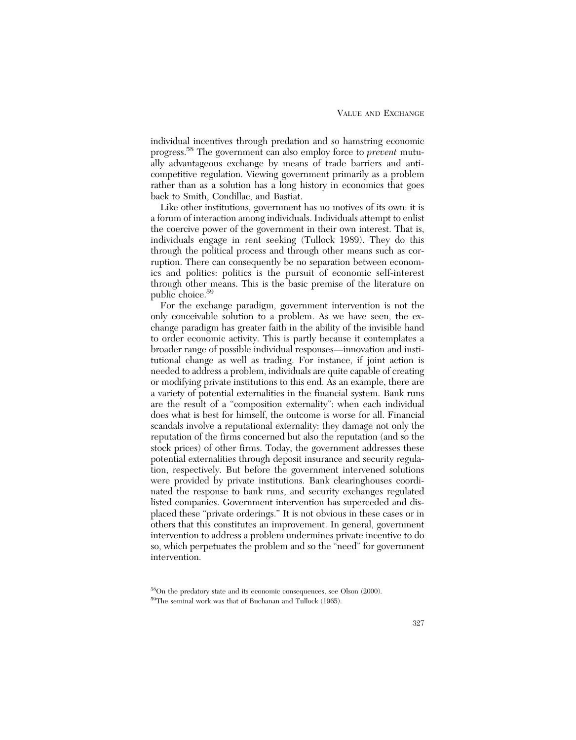individual incentives through predation and so hamstring economic progress.58 The government can also employ force to *prevent* mutually advantageous exchange by means of trade barriers and anticompetitive regulation. Viewing government primarily as a problem rather than as a solution has a long history in economics that goes back to Smith, Condillac, and Bastiat.

Like other institutions, government has no motives of its own: it is a forum of interaction among individuals. Individuals attempt to enlist the coercive power of the government in their own interest. That is, individuals engage in rent seeking (Tullock 1989). They do this through the political process and through other means such as corruption. There can consequently be no separation between economics and politics: politics is the pursuit of economic self-interest through other means. This is the basic premise of the literature on public choice.59

For the exchange paradigm, government intervention is not the only conceivable solution to a problem. As we have seen, the exchange paradigm has greater faith in the ability of the invisible hand to order economic activity. This is partly because it contemplates a broader range of possible individual responses—innovation and institutional change as well as trading. For instance, if joint action is needed to address a problem, individuals are quite capable of creating or modifying private institutions to this end. As an example, there are a variety of potential externalities in the financial system. Bank runs are the result of a "composition externality": when each individual does what is best for himself, the outcome is worse for all. Financial scandals involve a reputational externality: they damage not only the reputation of the firms concerned but also the reputation (and so the stock prices) of other firms. Today, the government addresses these potential externalities through deposit insurance and security regulation, respectively. But before the government intervened solutions were provided by private institutions. Bank clearinghouses coordinated the response to bank runs, and security exchanges regulated listed companies. Government intervention has superceded and displaced these "private orderings." It is not obvious in these cases or in others that this constitutes an improvement. In general, government intervention to address a problem undermines private incentive to do so, which perpetuates the problem and so the "need" for government intervention.

<sup>58</sup>On the predatory state and its economic consequences, see Olson (2000).

<sup>59</sup>The seminal work was that of Buchanan and Tullock (1965).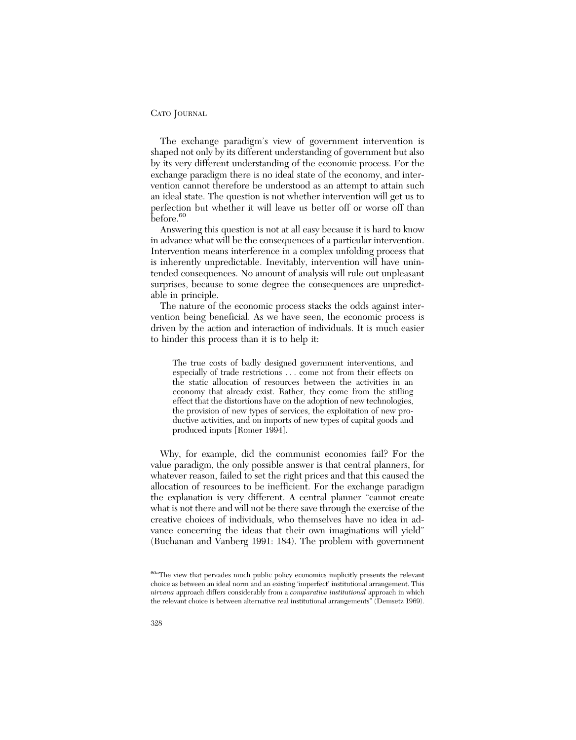The exchange paradigm's view of government intervention is shaped not only by its different understanding of government but also by its very different understanding of the economic process. For the exchange paradigm there is no ideal state of the economy, and intervention cannot therefore be understood as an attempt to attain such an ideal state. The question is not whether intervention will get us to perfection but whether it will leave us better off or worse off than before.<sup>60</sup>

Answering this question is not at all easy because it is hard to know in advance what will be the consequences of a particular intervention. Intervention means interference in a complex unfolding process that is inherently unpredictable. Inevitably, intervention will have unintended consequences. No amount of analysis will rule out unpleasant surprises, because to some degree the consequences are unpredictable in principle.

The nature of the economic process stacks the odds against intervention being beneficial. As we have seen, the economic process is driven by the action and interaction of individuals. It is much easier to hinder this process than it is to help it:

The true costs of badly designed government interventions, and especially of trade restrictions . . . come not from their effects on the static allocation of resources between the activities in an economy that already exist. Rather, they come from the stifling effect that the distortions have on the adoption of new technologies, the provision of new types of services, the exploitation of new productive activities, and on imports of new types of capital goods and produced inputs [Romer 1994].

Why, for example, did the communist economies fail? For the value paradigm, the only possible answer is that central planners, for whatever reason, failed to set the right prices and that this caused the allocation of resources to be inefficient. For the exchange paradigm the explanation is very different. A central planner "cannot create what is not there and will not be there save through the exercise of the creative choices of individuals, who themselves have no idea in advance concerning the ideas that their own imaginations will yield" (Buchanan and Vanberg 1991: 184). The problem with government

<sup>&</sup>lt;sup>60</sup>"The view that pervades much public policy economics implicitly presents the relevant choice as between an ideal norm and an existing 'imperfect' institutional arrangement. This *nirvana* approach differs considerably from a *comparative institutional* approach in which the relevant choice is between alternative real institutional arrangements" (Demsetz 1969).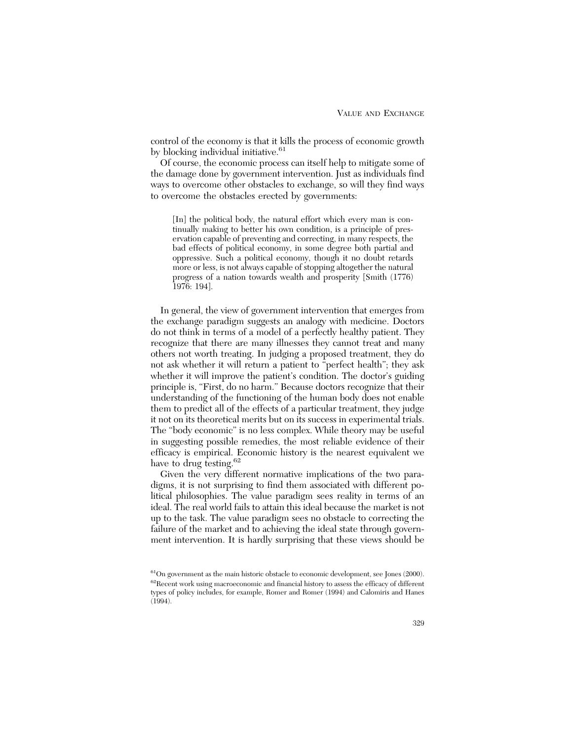control of the economy is that it kills the process of economic growth by blocking individual initiative.<sup>61</sup>

Of course, the economic process can itself help to mitigate some of the damage done by government intervention. Just as individuals find ways to overcome other obstacles to exchange, so will they find ways to overcome the obstacles erected by governments:

[In] the political body, the natural effort which every man is continually making to better his own condition, is a principle of preservation capable of preventing and correcting, in many respects, the bad effects of political economy, in some degree both partial and oppressive. Such a political economy, though it no doubt retards more or less, is not always capable of stopping altogether the natural progress of a nation towards wealth and prosperity [Smith (1776) 1976: 194].

In general, the view of government intervention that emerges from the exchange paradigm suggests an analogy with medicine. Doctors do not think in terms of a model of a perfectly healthy patient. They recognize that there are many illnesses they cannot treat and many others not worth treating. In judging a proposed treatment, they do not ask whether it will return a patient to "perfect health"; they ask whether it will improve the patient's condition. The doctor's guiding principle is, "First, do no harm." Because doctors recognize that their understanding of the functioning of the human body does not enable them to predict all of the effects of a particular treatment, they judge it not on its theoretical merits but on its success in experimental trials. The "body economic" is no less complex. While theory may be useful in suggesting possible remedies, the most reliable evidence of their efficacy is empirical. Economic history is the nearest equivalent we have to drug testing.<sup>62</sup>

Given the very different normative implications of the two paradigms, it is not surprising to find them associated with different political philosophies. The value paradigm sees reality in terms of an ideal. The real world fails to attain this ideal because the market is not up to the task. The value paradigm sees no obstacle to correcting the failure of the market and to achieving the ideal state through government intervention. It is hardly surprising that these views should be

 $61$ On government as the main historic obstacle to economic development, see Jones (2000). 62Recent work using macroeconomic and financial history to assess the efficacy of different types of policy includes, for example, Romer and Romer (1994) and Calomiris and Hanes  $(1994)$ .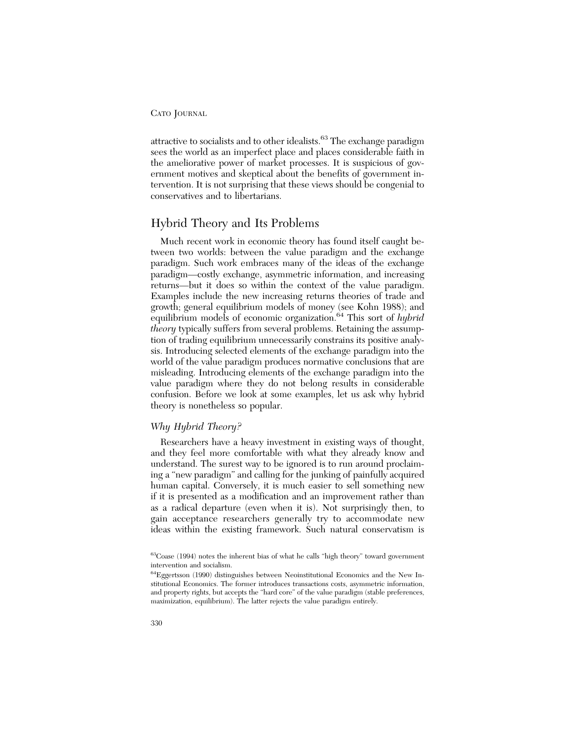attractive to socialists and to other idealists.<sup>63</sup> The exchange paradigm sees the world as an imperfect place and places considerable faith in the ameliorative power of market processes. It is suspicious of government motives and skeptical about the benefits of government intervention. It is not surprising that these views should be congenial to conservatives and to libertarians.

## Hybrid Theory and Its Problems

Much recent work in economic theory has found itself caught between two worlds: between the value paradigm and the exchange paradigm. Such work embraces many of the ideas of the exchange paradigm—costly exchange, asymmetric information, and increasing returns—but it does so within the context of the value paradigm. Examples include the new increasing returns theories of trade and growth; general equilibrium models of money (see Kohn 1988); and equilibrium models of economic organization.<sup>64</sup> This sort of *hybrid theory* typically suffers from several problems. Retaining the assumption of trading equilibrium unnecessarily constrains its positive analysis. Introducing selected elements of the exchange paradigm into the world of the value paradigm produces normative conclusions that are misleading. Introducing elements of the exchange paradigm into the value paradigm where they do not belong results in considerable confusion. Before we look at some examples, let us ask why hybrid theory is nonetheless so popular.

## *Why Hybrid Theory?*

Researchers have a heavy investment in existing ways of thought, and they feel more comfortable with what they already know and understand. The surest way to be ignored is to run around proclaiming a "new paradigm" and calling for the junking of painfully acquired human capital. Conversely, it is much easier to sell something new if it is presented as a modification and an improvement rather than as a radical departure (even when it is). Not surprisingly then, to gain acceptance researchers generally try to accommodate new ideas within the existing framework. Such natural conservatism is

<sup>63</sup>Coase (1994) notes the inherent bias of what he calls "high theory" toward government intervention and socialism.

<sup>64</sup>Eggertsson (1990) distinguishes between Neoinstitutional Economics and the New Institutional Economics. The former introduces transactions costs, asymmetric information, and property rights, but accepts the "hard core" of the value paradigm (stable preferences, maximization, equilibrium). The latter rejects the value paradigm entirely.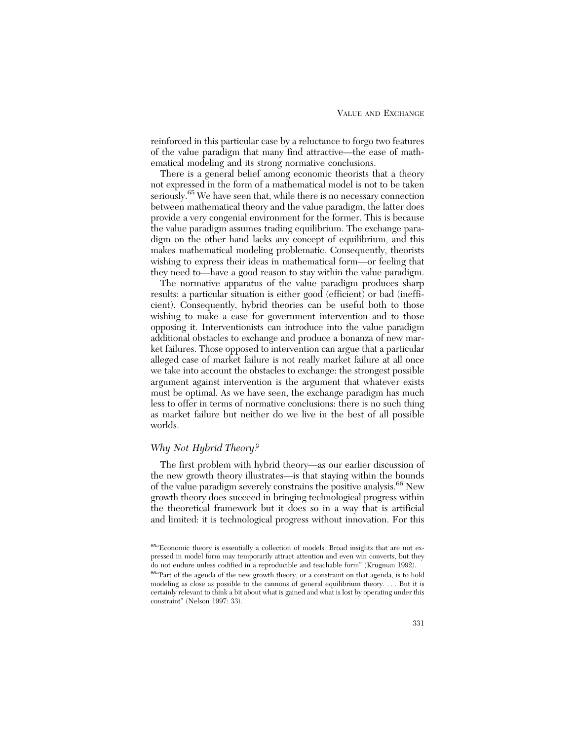reinforced in this particular case by a reluctance to forgo two features of the value paradigm that many find attractive—the ease of mathematical modeling and its strong normative conclusions.

There is a general belief among economic theorists that a theory not expressed in the form of a mathematical model is not to be taken seriously.<sup>65</sup> We have seen that, while there is no necessary connection between mathematical theory and the value paradigm, the latter does provide a very congenial environment for the former. This is because the value paradigm assumes trading equilibrium. The exchange paradigm on the other hand lacks any concept of equilibrium, and this makes mathematical modeling problematic. Consequently, theorists wishing to express their ideas in mathematical form—or feeling that they need to—have a good reason to stay within the value paradigm.

The normative apparatus of the value paradigm produces sharp results: a particular situation is either good (efficient) or bad (inefficient). Consequently, hybrid theories can be useful both to those wishing to make a case for government intervention and to those opposing it. Interventionists can introduce into the value paradigm additional obstacles to exchange and produce a bonanza of new market failures. Those opposed to intervention can argue that a particular alleged case of market failure is not really market failure at all once we take into account the obstacles to exchange: the strongest possible argument against intervention is the argument that whatever exists must be optimal. As we have seen, the exchange paradigm has much less to offer in terms of normative conclusions: there is no such thing as market failure but neither do we live in the best of all possible worlds.

## *Why Not Hybrid Theory?*

The first problem with hybrid theory—as our earlier discussion of the new growth theory illustrates—is that staying within the bounds of the value paradigm severely constrains the positive analysis.<sup>66</sup> New growth theory does succeed in bringing technological progress within the theoretical framework but it does so in a way that is artificial and limited: it is technological progress without innovation. For this

<sup>65&</sup>quot;Economic theory is essentially a collection of models. Broad insights that are not expressed in model form may temporarily attract attention and even win converts, but they do not endure unless codified in a reproducible and teachable form" (Krugman 1992).

<sup>66&</sup>quot;Part of the agenda of the new growth theory, or a constraint on that agenda, is to hold modeling as close as possible to the cannons of general equilibrium theory. . . . But it is certainly relevant to think a bit about what is gained and what is lost by operating under this constraint" (Nelson 1997: 33).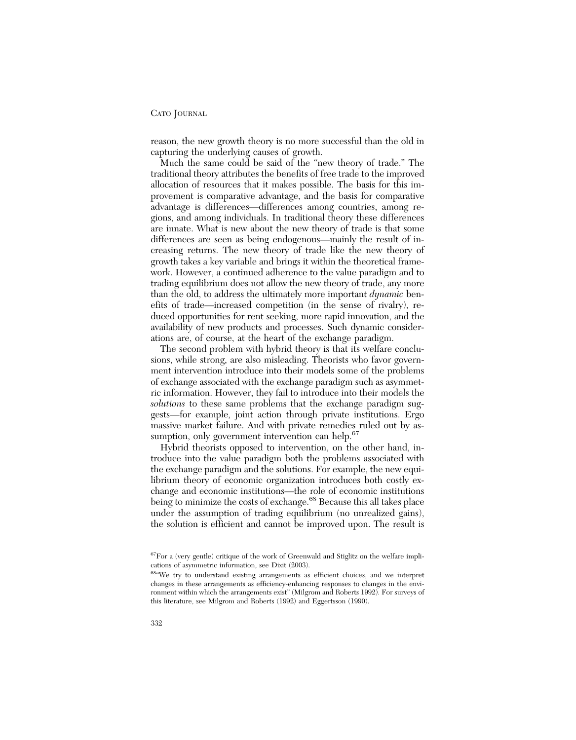reason, the new growth theory is no more successful than the old in capturing the underlying causes of growth.

Much the same could be said of the "new theory of trade." The traditional theory attributes the benefits of free trade to the improved allocation of resources that it makes possible. The basis for this improvement is comparative advantage, and the basis for comparative advantage is differences—differences among countries, among regions, and among individuals. In traditional theory these differences are innate. What is new about the new theory of trade is that some differences are seen as being endogenous—mainly the result of increasing returns. The new theory of trade like the new theory of growth takes a key variable and brings it within the theoretical framework. However, a continued adherence to the value paradigm and to trading equilibrium does not allow the new theory of trade, any more than the old, to address the ultimately more important *dynamic* benefits of trade—increased competition (in the sense of rivalry), reduced opportunities for rent seeking, more rapid innovation, and the availability of new products and processes. Such dynamic considerations are, of course, at the heart of the exchange paradigm.

The second problem with hybrid theory is that its welfare conclusions, while strong, are also misleading. Theorists who favor government intervention introduce into their models some of the problems of exchange associated with the exchange paradigm such as asymmetric information. However, they fail to introduce into their models the *solutions* to these same problems that the exchange paradigm suggests—for example, joint action through private institutions. Ergo massive market failure. And with private remedies ruled out by assumption, only government intervention can help.<sup>67</sup>

Hybrid theorists opposed to intervention, on the other hand, introduce into the value paradigm both the problems associated with the exchange paradigm and the solutions. For example, the new equilibrium theory of economic organization introduces both costly exchange and economic institutions—the role of economic institutions being to minimize the costs of exchange.<sup>68</sup> Because this all takes place under the assumption of trading equilibrium (no unrealized gains), the solution is efficient and cannot be improved upon. The result is

<sup>67</sup>For a (very gentle) critique of the work of Greenwald and Stiglitz on the welfare implications of asymmetric information, see Dixit (2003).

<sup>68&</sup>quot;We try to understand existing arrangements as efficient choices, and we interpret changes in these arrangements as efficiency-enhancing responses to changes in the environment within which the arrangements exist" (Milgrom and Roberts 1992). For surveys of this literature, see Milgrom and Roberts (1992) and Eggertsson (1990).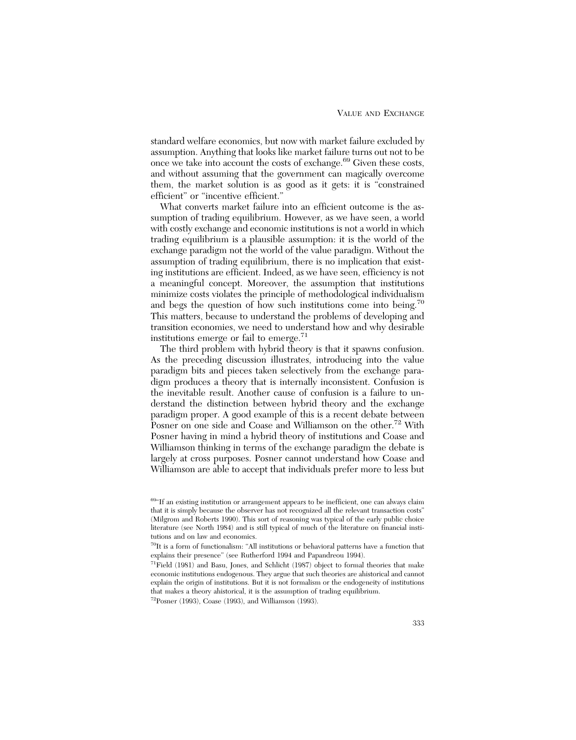standard welfare economics, but now with market failure excluded by assumption. Anything that looks like market failure turns out not to be once we take into account the costs of exchange.<sup>69</sup> Given these costs, and without assuming that the government can magically overcome them, the market solution is as good as it gets: it is "constrained efficient" or "incentive efficient."

What converts market failure into an efficient outcome is the assumption of trading equilibrium. However, as we have seen, a world with costly exchange and economic institutions is not a world in which trading equilibrium is a plausible assumption: it is the world of the exchange paradigm not the world of the value paradigm. Without the assumption of trading equilibrium, there is no implication that existing institutions are efficient. Indeed, as we have seen, efficiency is not a meaningful concept. Moreover, the assumption that institutions minimize costs violates the principle of methodological individualism and begs the question of how such institutions come into being.<sup>70</sup> This matters, because to understand the problems of developing and transition economies, we need to understand how and why desirable institutions emerge or fail to emerge.<sup>71</sup>

The third problem with hybrid theory is that it spawns confusion. As the preceding discussion illustrates, introducing into the value paradigm bits and pieces taken selectively from the exchange paradigm produces a theory that is internally inconsistent. Confusion is the inevitable result. Another cause of confusion is a failure to understand the distinction between hybrid theory and the exchange paradigm proper. A good example of this is a recent debate between Posner on one side and Coase and Williamson on the other.<sup>72</sup> With Posner having in mind a hybrid theory of institutions and Coase and Williamson thinking in terms of the exchange paradigm the debate is largely at cross purposes. Posner cannot understand how Coase and Williamson are able to accept that individuals prefer more to less but

 $^{69\circ}$  If an existing institution or arrangement appears to be inefficient, one can always claim that it is simply because the observer has not recognized all the relevant transaction costs" (Milgrom and Roberts 1990). This sort of reasoning was typical of the early public choice literature (see North 1984) and is still typical of much of the literature on financial institutions and on law and economics.

<sup>70</sup>It is a form of functionalism: "All institutions or behavioral patterns have a function that explains their presence" (see Rutherford 1994 and Papandreou 1994).

<sup>71</sup>Field (1981) and Basu, Jones, and Schlicht (1987) object to formal theories that make economic institutions endogenous. They argue that such theories are ahistorical and cannot explain the origin of institutions. But it is not formalism or the endogeneity of institutions that makes a theory ahistorical, it is the assumption of trading equilibrium.

 $72$ Posner (1993), Coase (1993), and Williamson (1993).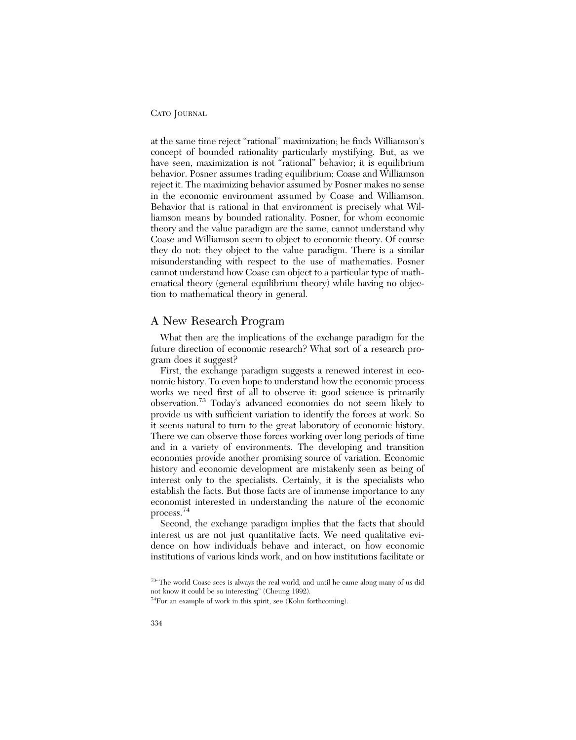at the same time reject "rational" maximization; he finds Williamson's concept of bounded rationality particularly mystifying. But, as we have seen, maximization is not "rational" behavior; it is equilibrium behavior. Posner assumes trading equilibrium; Coase and Williamson reject it. The maximizing behavior assumed by Posner makes no sense in the economic environment assumed by Coase and Williamson. Behavior that is rational in that environment is precisely what Williamson means by bounded rationality. Posner, for whom economic theory and the value paradigm are the same, cannot understand why Coase and Williamson seem to object to economic theory. Of course they do not: they object to the value paradigm. There is a similar misunderstanding with respect to the use of mathematics. Posner cannot understand how Coase can object to a particular type of mathematical theory (general equilibrium theory) while having no objection to mathematical theory in general.

## A New Research Program

What then are the implications of the exchange paradigm for the future direction of economic research? What sort of a research program does it suggest?

First, the exchange paradigm suggests a renewed interest in economic history. To even hope to understand how the economic process works we need first of all to observe it: good science is primarily observation.73 Today's advanced economies do not seem likely to provide us with sufficient variation to identify the forces at work. So it seems natural to turn to the great laboratory of economic history. There we can observe those forces working over long periods of time and in a variety of environments. The developing and transition economies provide another promising source of variation. Economic history and economic development are mistakenly seen as being of interest only to the specialists. Certainly, it is the specialists who establish the facts. But those facts are of immense importance to any economist interested in understanding the nature of the economic process.<sup>74</sup>

Second, the exchange paradigm implies that the facts that should interest us are not just quantitative facts. We need qualitative evidence on how individuals behave and interact, on how economic institutions of various kinds work, and on how institutions facilitate or

<sup>73&</sup>quot;The world Coase sees is always the real world, and until he came along many of us did not know it could be so interesting" (Cheung 1992).

<sup>74</sup>For an example of work in this spirit, see (Kohn forthcoming).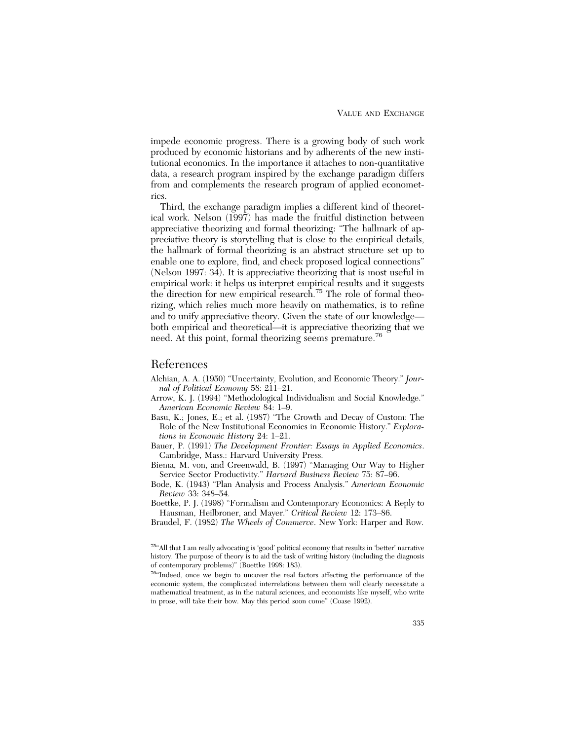impede economic progress. There is a growing body of such work produced by economic historians and by adherents of the new institutional economics. In the importance it attaches to non-quantitative data, a research program inspired by the exchange paradigm differs from and complements the research program of applied econometrics.

Third, the exchange paradigm implies a different kind of theoretical work. Nelson (1997) has made the fruitful distinction between appreciative theorizing and formal theorizing: "The hallmark of appreciative theory is storytelling that is close to the empirical details, the hallmark of formal theorizing is an abstract structure set up to enable one to explore, find, and check proposed logical connections" (Nelson 1997: 34). It is appreciative theorizing that is most useful in empirical work: it helps us interpret empirical results and it suggests the direction for new empirical research.<sup>75</sup> The role of formal theorizing, which relies much more heavily on mathematics, is to refine and to unify appreciative theory. Given the state of our knowledge both empirical and theoretical—it is appreciative theorizing that we need. At this point, formal theorizing seems premature.<sup>76</sup>

## References

- Alchian, A. A. (1950) "Uncertainty, Evolution, and Economic Theory." *Journal of Political Economy* 58: 211–21.
- Arrow, K. J. (1994) "Methodological Individualism and Social Knowledge." *American Economic Review* 84: 1–9.
- Basu, K.; Jones, E.; et al. (1987) "The Growth and Decay of Custom: The Role of the New Institutional Economics in Economic History." *Explorations in Economic History* 24: 1–21.
- Bauer, P. (1991) *The Development Frontier: Essays in Applied Economics*. Cambridge, Mass.: Harvard University Press.
- Biema, M. von, and Greenwald, B. (1997) "Managing Our Way to Higher Service Sector Productivity." *Harvard Business Review* 75: 87–96.
- Bode, K. (1943) "Plan Analysis and Process Analysis." *American Economic Review* 33: 348–54.
- Boettke, P. J. (1998) "Formalism and Contemporary Economics: A Reply to Hausman, Heilbroner, and Mayer." *Critical Review* 12: 173–86.
- Braudel, F. (1982) *The Wheels of Commerce*. New York: Harper and Row.

76"Indeed, once we begin to uncover the real factors affecting the performance of the economic system, the complicated interrelations between them will clearly necessitate a mathematical treatment, as in the natural sciences, and economists like myself, who write in prose, will take their bow. May this period soon come" (Coase 1992).

 $^{75\%}\mathrm{All}$  that I am really advocating is 'good' political economy that results in 'better' narrative history. The purpose of theory is to aid the task of writing history (including the diagnosis of contemporary problems)" (Boettke 1998: 183).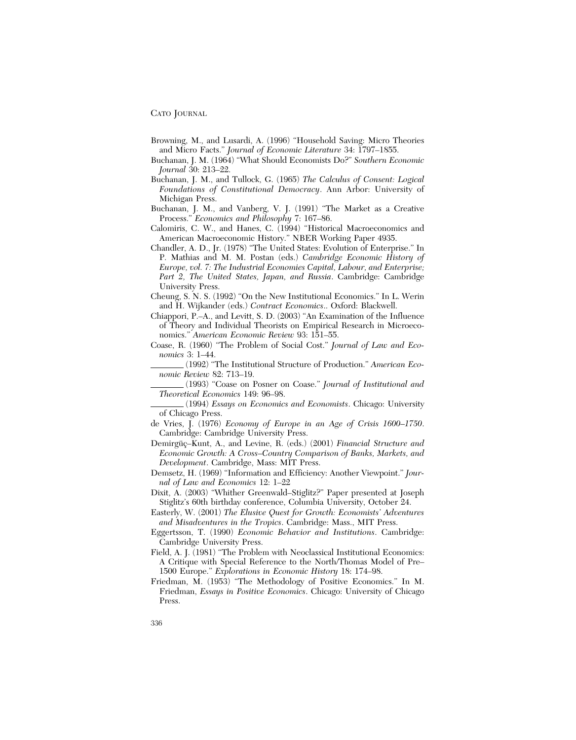- Browning, M., and Lusardi, A. (1996) "Household Saving: Micro Theories and Micro Facts." *Journal of Economic Literature* 34: 1797–1855.
- Buchanan, J. M. (1964) "What Should Economists Do?" *Southern Economic Journal* 30: 213–22.
- Buchanan, J. M., and Tullock, G. (1965) *The Calculus of Consent: Logical Foundations of Constitutional Democracy*. Ann Arbor: University of Michigan Press.
- Buchanan, J. M., and Vanberg, V. J. (1991) "The Market as a Creative Process." *Economics and Philosophy* 7: 167–86.
- Calomiris, C. W., and Hanes, C. (1994) "Historical Macroeconomics and American Macroeconomic History." NBER Working Paper 4935.
- Chandler, A. D., Jr. (1978) "The United States: Evolution of Enterprise." In P. Mathias and M. M. Postan (eds.) *Cambridge Economic History of Europe, vol. 7: The Industrial Economies Capital, Labour, and Enterprise; Part 2, The United States, Japan, and Russia*. Cambridge: Cambridge University Press.
- Cheung, S. N. S. (1992) "On the New Institutional Economics." In L. Werin and H. Wijkander (eds.) *Contract Economics*.. Oxford: Blackwell.
- Chiappori, P.–A., and Levitt, S. D. (2003) "An Examination of the Influence of Theory and Individual Theorists on Empirical Research in Microeconomics." *American Economic Review* 93: 151–55.
- Coase, R. (1960) "The Problem of Social Cost." *Journal of Law and Economics* 3: 1–44.
- (1992) "The Institutional Structure of Production." *American Economic Review* 82: 713–19.
- (1993) "Coase on Posner on Coase." *Journal of Institutional and Theoretical Economics* 149: 96–98.
- (1994) *Essays on Economics and Economists*. Chicago: University of Chicago Press.
- de Vries, J. (1976) *Economy of Europe in an Age of Crisis 1600–1750*. Cambridge: Cambridge University Press.
- Demirgüç–Kunt, A., and Levine, R. (eds.) (2001) *Financial Structure and Economic Growth: A Cross–Country Comparison of Banks, Markets, and Development*. Cambridge, Mass: MIT Press.
- Demsetz, H. (1969) "Information and Efficiency: Another Viewpoint." *Journal of Law and Economics* 12: 1–22
- Dixit, A. (2003) "Whither Greenwald–Stiglitz?" Paper presented at Joseph Stiglitz's 60th birthday conference, Columbia University, October 24.
- Easterly, W. (2001) *The Elusive Quest for Growth: Economists' Adventures and Misadventures in the Tropics*. Cambridge: Mass., MIT Press.
- Eggertsson, T. (1990) *Economic Behavior and Institutions*. Cambridge: Cambridge University Press.
- Field, A. J. (1981) "The Problem with Neoclassical Institutional Economics: A Critique with Special Reference to the North/Thomas Model of Pre– 1500 Europe." *Explorations in Economic History* 18: 174–98.
- Friedman, M. (1953) "The Methodology of Positive Economics." In M. Friedman, *Essays in Positive Economics*. Chicago: University of Chicago Press.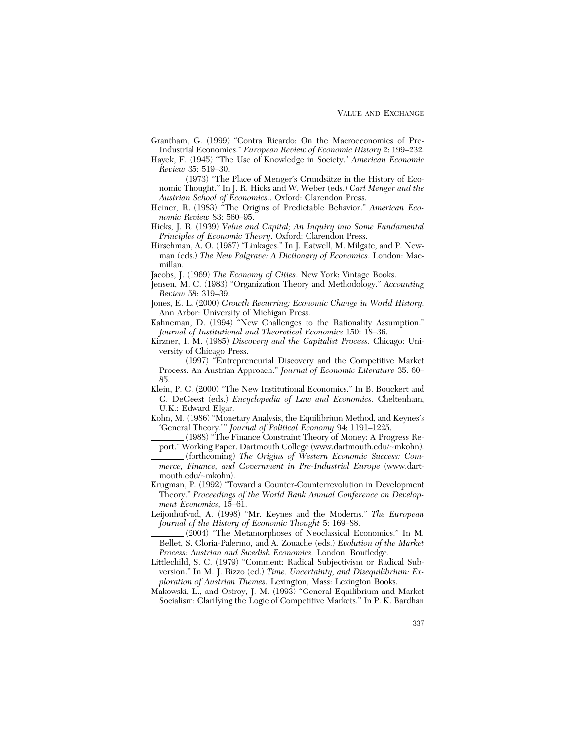- Grantham, G. (1999) "Contra Ricardo: On the Macroeconomics of Pre-Industrial Economies." *European Review of Economic History* 2: 199–232.
- Hayek, F. (1945) "The Use of Knowledge in Society." *American Economic Review* 35: 519–30.
- (1973) "The Place of Menger's Grundsätze in the History of Economic Thought." In J. R. Hicks and W. Weber (eds.) *Carl Menger and the Austrian School of Economics*.. Oxford: Clarendon Press.
- Heiner, R. (1983) "The Origins of Predictable Behavior." *American Economic Review* 83: 560–95.
- Hicks, J. R. (1939) *Value and Capital; An Inquiry into Some Fundamental Principles of Economic Theory*. Oxford: Clarendon Press.
- Hirschman, A. O. (1987) "Linkages." In J. Eatwell, M. Milgate, and P. Newman (eds.) *The New Palgrave: A Dictionary of Economics*. London: Macmillan.
- Jacobs, J. (1969) *The Economy of Cities*. New York: Vintage Books.
- Jensen, M. C. (1983) "Organization Theory and Methodology." *Accounting Review* 58: 319–39.
- Jones, E. L. (2000) *Growth Recurring: Economic Change in World History*. Ann Arbor: University of Michigan Press.
- Kahneman, D. (1994) "New Challenges to the Rationality Assumption." *Journal of Institutional and Theoretical Economics* 150: 18–36.
- Kirzner, I. M. (1985) *Discovery and the Capitalist Process*. Chicago: University of Chicago Press.
- (1997) "Entrepreneurial Discovery and the Competitive Market Process: An Austrian Approach." *Journal of Economic Literature* 35: 60– 85.
- Klein, P. G. (2000) "The New Institutional Economics." In B. Bouckert and G. DeGeest (eds.) *Encyclopedia of Law and Economics*. Cheltenham, U.K.: Edward Elgar.
- Kohn, M. (1986) "Monetary Analysis, the Equilibrium Method, and Keynes's 'General Theory.'" *Journal of Political Economy* 94: 1191–1225.
- (1988) "The Finance Constraint Theory of Money: A Progress Report." Working Paper. Dartmouth College (www.dartmouth.edu/∼mkohn).
- (forthcoming) *The Origins of Western Economic Success: Commerce, Finance, and Government in Pre-Industrial Europe* (www.dartmouth.edu/∼mkohn).
- Krugman, P. (1992) "Toward a Counter-Counterrevolution in Development Theory." *Proceedings of the World Bank Annual Conference on Development Economics,* 15–61.
- Leijonhufvud, A. (1998) "Mr. Keynes and the Moderns." *The European Journal of the History of Economic Thought* 5: 169–88.
- (2004) "The Metamorphoses of Neoclassical Economics." In M. Bellet, S. Gloria-Palermo, and A. Zouache (eds.) *Evolution of the Market Process: Austrian and Swedish Economics.* London: Routledge.
- Littlechild, S. C. (1979) "Comment: Radical Subjectivism or Radical Subversion." In M. J. Rizzo (ed.) *Time, Uncertainty, and Disequilibrium: Exploration of Austrian Themes*. Lexington, Mass: Lexington Books.
- Makowski, L., and Ostroy, J. M. (1993) "General Equilibrium and Market Socialism: Clarifying the Logic of Competitive Markets." In P. K. Bardhan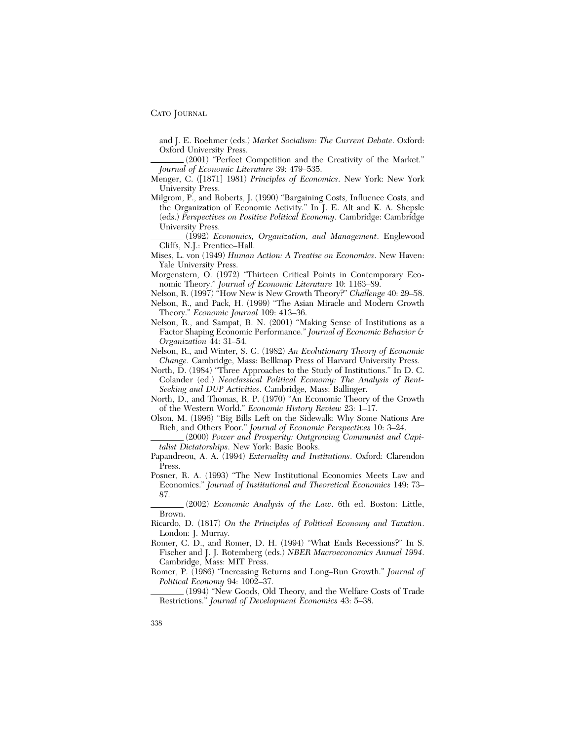and J. E. Roehmer (eds.) *Market Socialism: The Current Debate*. Oxford: Oxford University Press.

(2001) "Perfect Competition and the Creativity of the Market." *Journal of Economic Literature* 39: 479–535.

- Menger, C. ([1871] 1981) *Principles of Economics*. New York: New York University Press.
- Milgrom, P., and Roberts, J. (1990) "Bargaining Costs, Influence Costs, and the Organization of Economic Activity." In J. E. Alt and K. A. Shepsle (eds.) *Perspectives on Positive Political Economy*. Cambridge: Cambridge University Press.

(1992) *Economics, Organization, and Management*. Englewood Cliffs, N.J.: Prentice–Hall.

- Mises, L. von (1949) *Human Action: A Treatise on Economics*. New Haven: Yale University Press.
- Morgenstern, O. (1972) "Thirteen Critical Points in Contemporary Economic Theory." *Journal of Economic Literature* 10: 1163–89.
- Nelson, R. (1997) "How New is New Growth Theory?" *Challenge* 40: 29–58.
- Nelson, R., and Pack, H. (1999) "The Asian Miracle and Modern Growth Theory." *Economic Journal* 109: 413–36.
- Nelson, R., and Sampat, B. N. (2001) "Making Sense of Institutions as a Factor Shaping Economic Performance." *Journal of Economic Behavior & Organization* 44: 31–54.
- Nelson, R., and Winter, S. G. (1982) *An Evolutionary Theory of Economic Change*. Cambridge, Mass: Bellknap Press of Harvard University Press.
- North, D. (1984) "Three Approaches to the Study of Institutions." In D. C. Colander (ed.) *Neoclassical Political Economy: The Analysis of Rent-Seeking and DUP Activities*. Cambridge, Mass: Ballinger.
- North, D., and Thomas, R. P. (1970) "An Economic Theory of the Growth of the Western World." *Economic History Review* 23: 1–17.
- Olson, M. (1996) "Big Bills Left on the Sidewalk: Why Some Nations Are Rich, and Others Poor." *Journal of Economic Perspectives* 10: 3–24.
- (2000) *Power and Prosperity: Outgrowing Communist and Capitalist Dictatorships*. New York: Basic Books.
- Papandreou, A. A. (1994) *Externality and Institutions*. Oxford: Clarendon Press.
- Posner, R. A. (1993) "The New Institutional Economics Meets Law and Economics." *Journal of Institutional and Theoretical Economics* 149: 73– 87.

(2002) *Economic Analysis of the Law*. 6th ed. Boston: Little, Brown.

- Ricardo, D. (1817) *On the Principles of Political Economy and Taxation*. London: J. Murray.
- Romer, C. D., and Romer, D. H. (1994) "What Ends Recessions?" In S. Fischer and J. J. Rotemberg (eds.) *NBER Macroeconomics Annual 1994*. Cambridge, Mass: MIT Press.
- Romer, P. (1986) "Increasing Returns and Long–Run Growth." *Journal of Political Economy* 94: 1002–37.

(1994) "New Goods, Old Theory, and the Welfare Costs of Trade Restrictions." *Journal of Development Economics* 43: 5–38.